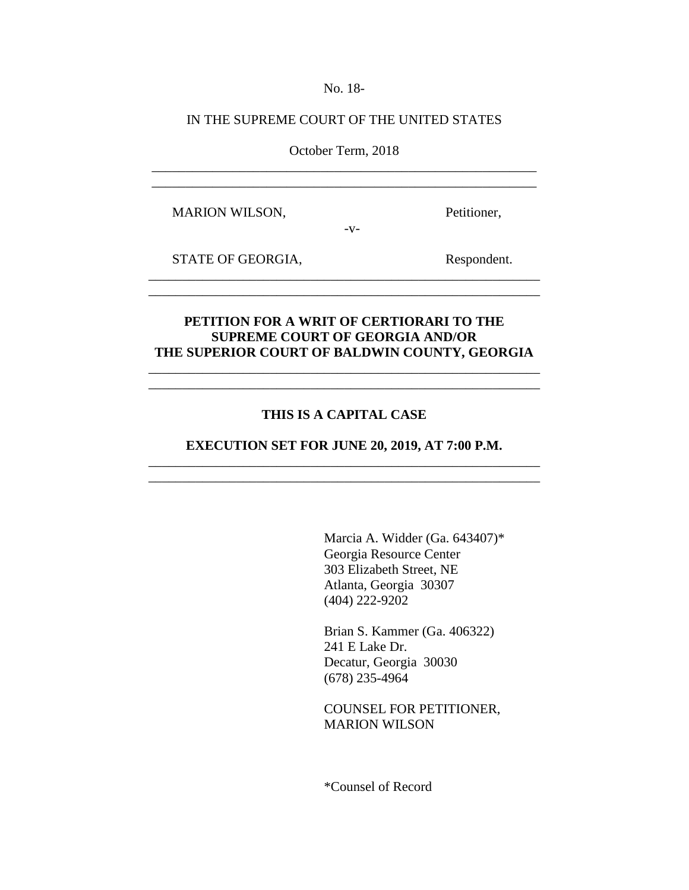No. 18-

### IN THE SUPREME COURT OF THE UNITED STATES

October Term, 2018 \_\_\_\_\_\_\_\_\_\_\_\_\_\_\_\_\_\_\_\_\_\_\_\_\_\_\_\_\_\_\_\_\_\_\_\_\_\_\_\_\_\_\_\_\_\_\_\_\_\_\_\_\_\_\_\_\_

\_\_\_\_\_\_\_\_\_\_\_\_\_\_\_\_\_\_\_\_\_\_\_\_\_\_\_\_\_\_\_\_\_\_\_\_\_\_\_\_\_\_\_\_\_\_\_\_\_\_\_\_\_\_\_\_\_

 $-V-$ 

MARION WILSON, Petitioner,

STATE OF GEORGIA, Respondent.

# **PETITION FOR A WRIT OF CERTIORARI TO THE SUPREME COURT OF GEORGIA AND/OR THE SUPERIOR COURT OF BALDWIN COUNTY, GEORGIA**

\_\_\_\_\_\_\_\_\_\_\_\_\_\_\_\_\_\_\_\_\_\_\_\_\_\_\_\_\_\_\_\_\_\_\_\_\_\_\_\_\_\_\_\_\_\_\_\_\_\_\_\_\_\_\_\_\_\_ \_\_\_\_\_\_\_\_\_\_\_\_\_\_\_\_\_\_\_\_\_\_\_\_\_\_\_\_\_\_\_\_\_\_\_\_\_\_\_\_\_\_\_\_\_\_\_\_\_\_\_\_\_\_\_\_\_\_

\_\_\_\_\_\_\_\_\_\_\_\_\_\_\_\_\_\_\_\_\_\_\_\_\_\_\_\_\_\_\_\_\_\_\_\_\_\_\_\_\_\_\_\_\_\_\_\_\_\_\_\_\_\_\_\_\_\_ \_\_\_\_\_\_\_\_\_\_\_\_\_\_\_\_\_\_\_\_\_\_\_\_\_\_\_\_\_\_\_\_\_\_\_\_\_\_\_\_\_\_\_\_\_\_\_\_\_\_\_\_\_\_\_\_\_\_

# **THIS IS A CAPITAL CASE**

**EXECUTION SET FOR JUNE 20, 2019, AT 7:00 P.M.**  \_\_\_\_\_\_\_\_\_\_\_\_\_\_\_\_\_\_\_\_\_\_\_\_\_\_\_\_\_\_\_\_\_\_\_\_\_\_\_\_\_\_\_\_\_\_\_\_\_\_\_\_\_\_\_\_\_\_

\_\_\_\_\_\_\_\_\_\_\_\_\_\_\_\_\_\_\_\_\_\_\_\_\_\_\_\_\_\_\_\_\_\_\_\_\_\_\_\_\_\_\_\_\_\_\_\_\_\_\_\_\_\_\_\_\_\_

Marcia A. Widder (Ga. 643407)\* Georgia Resource Center 303 Elizabeth Street, NE Atlanta, Georgia 30307 (404) 222-9202

Brian S. Kammer (Ga. 406322) 241 E Lake Dr. Decatur, Georgia 30030 (678) 235-4964

COUNSEL FOR PETITIONER, MARION WILSON

\*Counsel of Record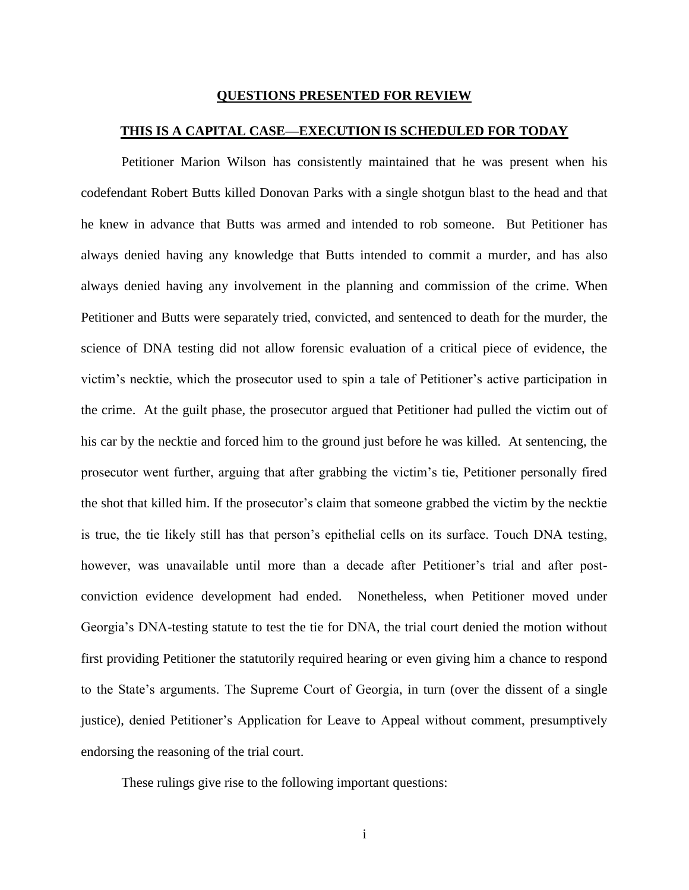#### **QUESTIONS PRESENTED FOR REVIEW**

#### **THIS IS A CAPITAL CASE—EXECUTION IS SCHEDULED FOR TODAY**

Petitioner Marion Wilson has consistently maintained that he was present when his codefendant Robert Butts killed Donovan Parks with a single shotgun blast to the head and that he knew in advance that Butts was armed and intended to rob someone. But Petitioner has always denied having any knowledge that Butts intended to commit a murder, and has also always denied having any involvement in the planning and commission of the crime. When Petitioner and Butts were separately tried, convicted, and sentenced to death for the murder, the science of DNA testing did not allow forensic evaluation of a critical piece of evidence, the victim's necktie, which the prosecutor used to spin a tale of Petitioner's active participation in the crime. At the guilt phase, the prosecutor argued that Petitioner had pulled the victim out of his car by the necktie and forced him to the ground just before he was killed. At sentencing, the prosecutor went further, arguing that after grabbing the victim's tie, Petitioner personally fired the shot that killed him. If the prosecutor's claim that someone grabbed the victim by the necktie is true, the tie likely still has that person's epithelial cells on its surface. Touch DNA testing, however, was unavailable until more than a decade after Petitioner's trial and after postconviction evidence development had ended. Nonetheless, when Petitioner moved under Georgia's DNA-testing statute to test the tie for DNA, the trial court denied the motion without first providing Petitioner the statutorily required hearing or even giving him a chance to respond to the State's arguments. The Supreme Court of Georgia, in turn (over the dissent of a single justice), denied Petitioner's Application for Leave to Appeal without comment, presumptively endorsing the reasoning of the trial court.

These rulings give rise to the following important questions: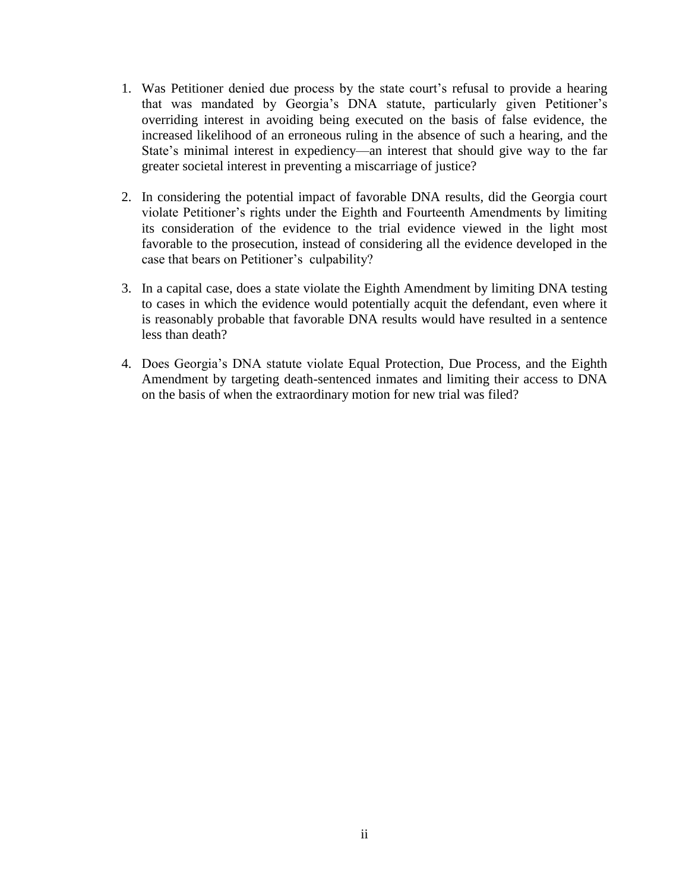- 1. Was Petitioner denied due process by the state court's refusal to provide a hearing that was mandated by Georgia's DNA statute, particularly given Petitioner's overriding interest in avoiding being executed on the basis of false evidence, the increased likelihood of an erroneous ruling in the absence of such a hearing, and the State's minimal interest in expediency—an interest that should give way to the far greater societal interest in preventing a miscarriage of justice?
- 2. In considering the potential impact of favorable DNA results, did the Georgia court violate Petitioner's rights under the Eighth and Fourteenth Amendments by limiting its consideration of the evidence to the trial evidence viewed in the light most favorable to the prosecution, instead of considering all the evidence developed in the case that bears on Petitioner's culpability?
- 3. In a capital case, does a state violate the Eighth Amendment by limiting DNA testing to cases in which the evidence would potentially acquit the defendant, even where it is reasonably probable that favorable DNA results would have resulted in a sentence less than death?
- 4. Does Georgia's DNA statute violate Equal Protection, Due Process, and the Eighth Amendment by targeting death-sentenced inmates and limiting their access to DNA on the basis of when the extraordinary motion for new trial was filed?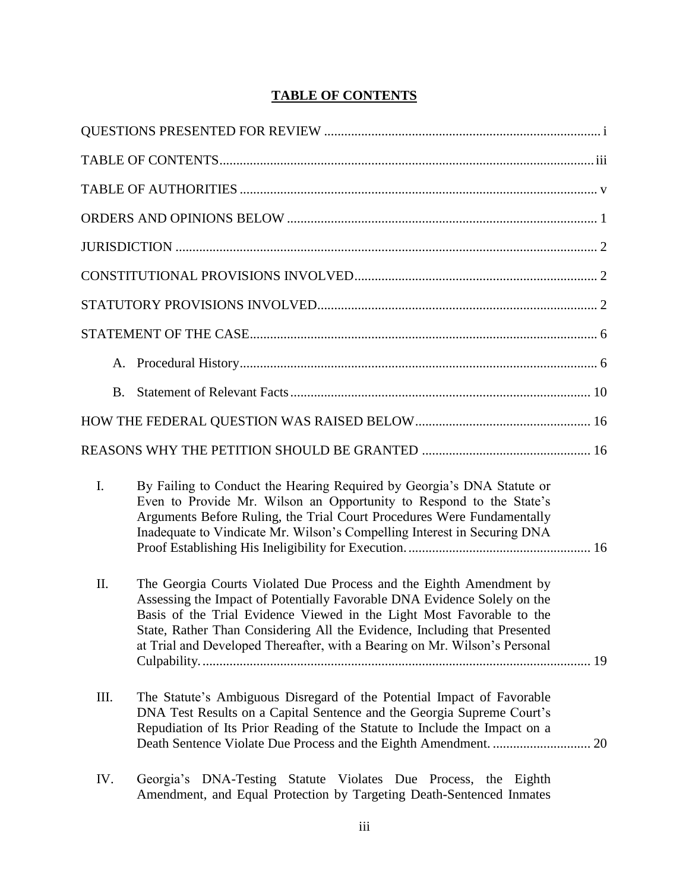# **TABLE OF CONTENTS**

| B.   |                                                                                                                                                                                                                                                                                                                                                                                     |  |
|------|-------------------------------------------------------------------------------------------------------------------------------------------------------------------------------------------------------------------------------------------------------------------------------------------------------------------------------------------------------------------------------------|--|
|      |                                                                                                                                                                                                                                                                                                                                                                                     |  |
|      |                                                                                                                                                                                                                                                                                                                                                                                     |  |
| I.   | By Failing to Conduct the Hearing Required by Georgia's DNA Statute or<br>Even to Provide Mr. Wilson an Opportunity to Respond to the State's<br>Arguments Before Ruling, the Trial Court Procedures Were Fundamentally<br>Inadequate to Vindicate Mr. Wilson's Compelling Interest in Securing DNA                                                                                 |  |
| II.  | The Georgia Courts Violated Due Process and the Eighth Amendment by<br>Assessing the Impact of Potentially Favorable DNA Evidence Solely on the<br>Basis of the Trial Evidence Viewed in the Light Most Favorable to the<br>State, Rather Than Considering All the Evidence, Including that Presented<br>at Trial and Developed Thereafter, with a Bearing on Mr. Wilson's Personal |  |
| III. | The Statute's Ambiguous Disregard of the Potential Impact of Favorable<br>DNA Test Results on a Capital Sentence and the Georgia Supreme Court's<br>Repudiation of Its Prior Reading of the Statute to Include the Impact on a                                                                                                                                                      |  |
| IV.  | Georgia's DNA-Testing Statute Violates Due Process, the Eighth<br>Amendment, and Equal Protection by Targeting Death-Sentenced Inmates                                                                                                                                                                                                                                              |  |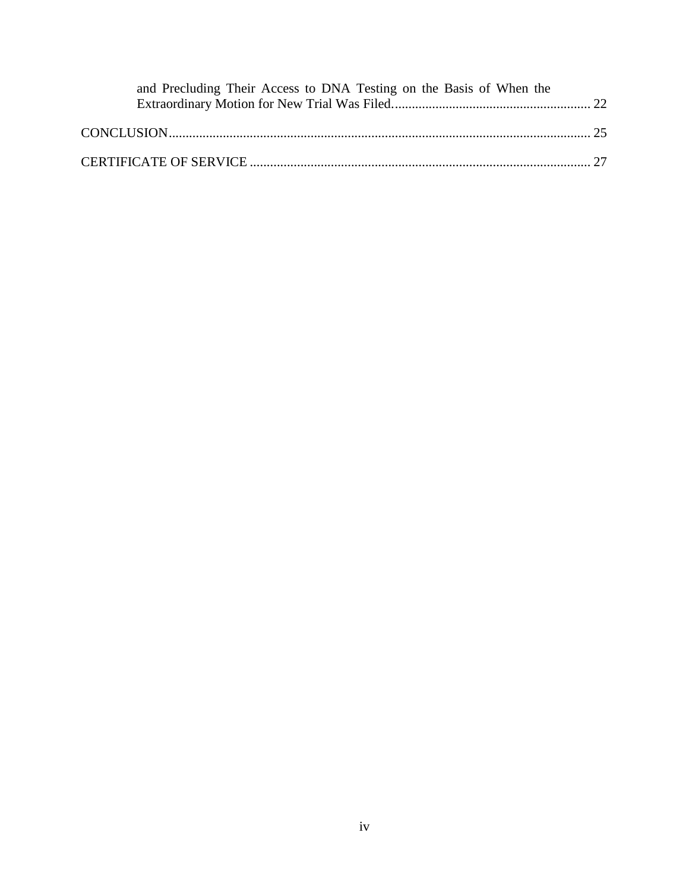| and Precluding Their Access to DNA Testing on the Basis of When the |  |
|---------------------------------------------------------------------|--|
|                                                                     |  |
|                                                                     |  |
|                                                                     |  |
|                                                                     |  |
|                                                                     |  |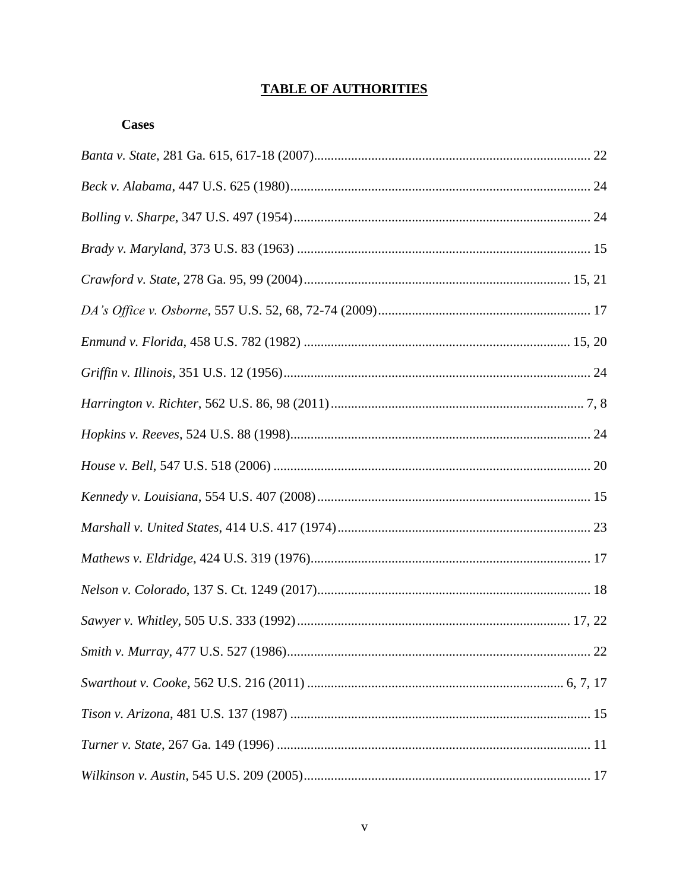# **TABLE OF AUTHORITIES**

### **Cases**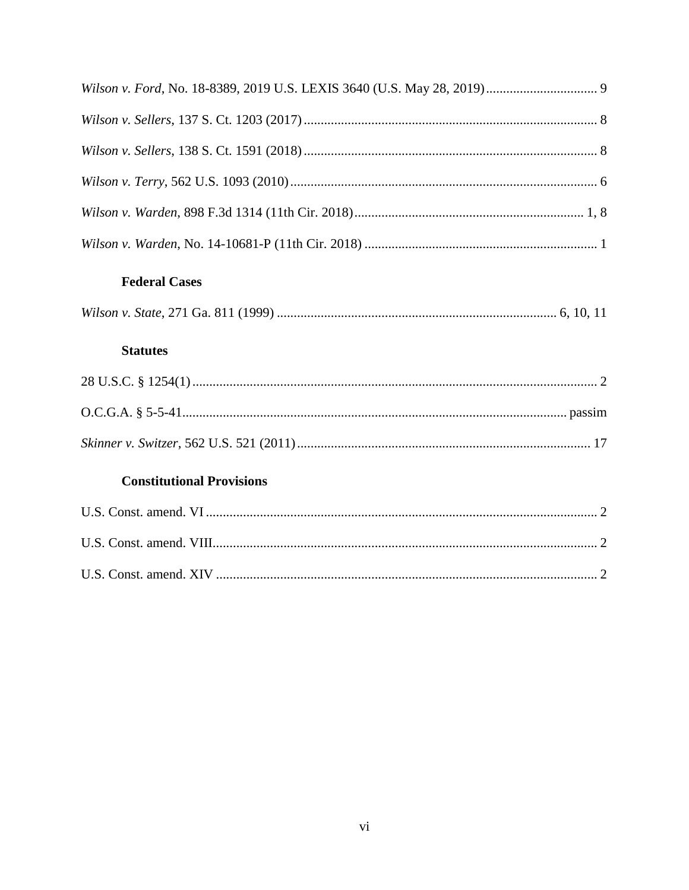| <b>Federal Cases</b>             |  |
|----------------------------------|--|
|                                  |  |
| <b>Statutes</b>                  |  |
|                                  |  |
|                                  |  |
|                                  |  |
| <b>Constitutional Provisions</b> |  |
|                                  |  |
|                                  |  |
|                                  |  |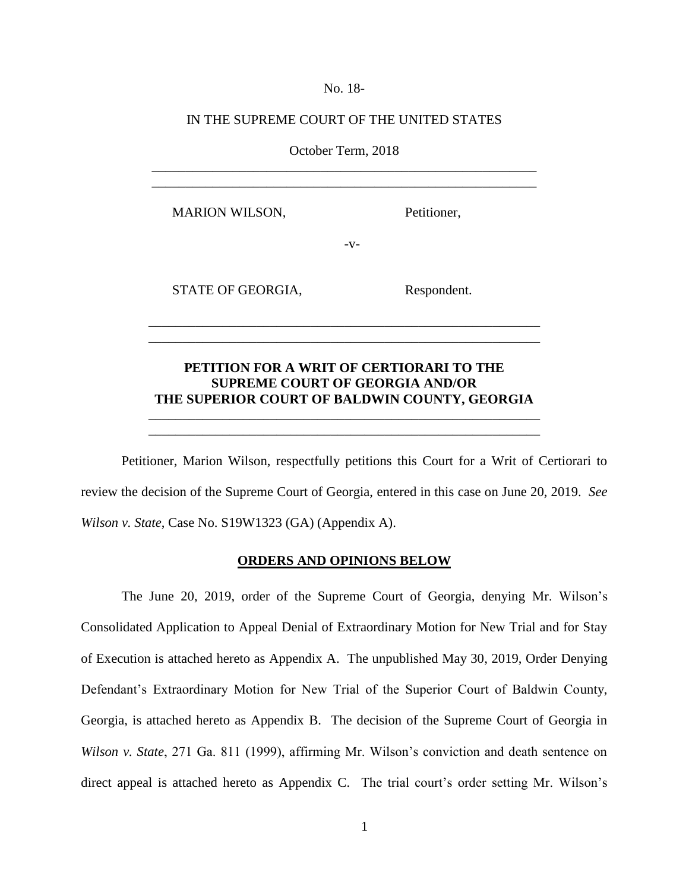No. 18-

### IN THE SUPREME COURT OF THE UNITED STATES

October Term, 2018 \_\_\_\_\_\_\_\_\_\_\_\_\_\_\_\_\_\_\_\_\_\_\_\_\_\_\_\_\_\_\_\_\_\_\_\_\_\_\_\_\_\_\_\_\_\_\_\_\_\_\_\_\_\_\_\_\_

\_\_\_\_\_\_\_\_\_\_\_\_\_\_\_\_\_\_\_\_\_\_\_\_\_\_\_\_\_\_\_\_\_\_\_\_\_\_\_\_\_\_\_\_\_\_\_\_\_\_\_\_\_\_\_\_\_

MARION WILSON, Petitioner,

 $-V-$ 

STATE OF GEORGIA, Respondent.

## **PETITION FOR A WRIT OF CERTIORARI TO THE SUPREME COURT OF GEORGIA AND/OR THE SUPERIOR COURT OF BALDWIN COUNTY, GEORGIA**

\_\_\_\_\_\_\_\_\_\_\_\_\_\_\_\_\_\_\_\_\_\_\_\_\_\_\_\_\_\_\_\_\_\_\_\_\_\_\_\_\_\_\_\_\_\_\_\_\_\_\_\_\_\_\_\_\_\_ \_\_\_\_\_\_\_\_\_\_\_\_\_\_\_\_\_\_\_\_\_\_\_\_\_\_\_\_\_\_\_\_\_\_\_\_\_\_\_\_\_\_\_\_\_\_\_\_\_\_\_\_\_\_\_\_\_\_

\_\_\_\_\_\_\_\_\_\_\_\_\_\_\_\_\_\_\_\_\_\_\_\_\_\_\_\_\_\_\_\_\_\_\_\_\_\_\_\_\_\_\_\_\_\_\_\_\_\_\_\_\_\_\_\_\_\_ \_\_\_\_\_\_\_\_\_\_\_\_\_\_\_\_\_\_\_\_\_\_\_\_\_\_\_\_\_\_\_\_\_\_\_\_\_\_\_\_\_\_\_\_\_\_\_\_\_\_\_\_\_\_\_\_\_\_

Petitioner, Marion Wilson, respectfully petitions this Court for a Writ of Certiorari to review the decision of the Supreme Court of Georgia, entered in this case on June 20, 2019. *See Wilson v. State*, Case No. S19W1323 (GA) (Appendix A).

#### **ORDERS AND OPINIONS BELOW**

The June 20, 2019, order of the Supreme Court of Georgia, denying Mr. Wilson's Consolidated Application to Appeal Denial of Extraordinary Motion for New Trial and for Stay of Execution is attached hereto as Appendix A. The unpublished May 30, 2019, Order Denying Defendant's Extraordinary Motion for New Trial of the Superior Court of Baldwin County, Georgia, is attached hereto as Appendix B. The decision of the Supreme Court of Georgia in *Wilson v. State*, 271 Ga. 811 (1999), affirming Mr. Wilson's conviction and death sentence on direct appeal is attached hereto as Appendix C. The trial court's order setting Mr. Wilson's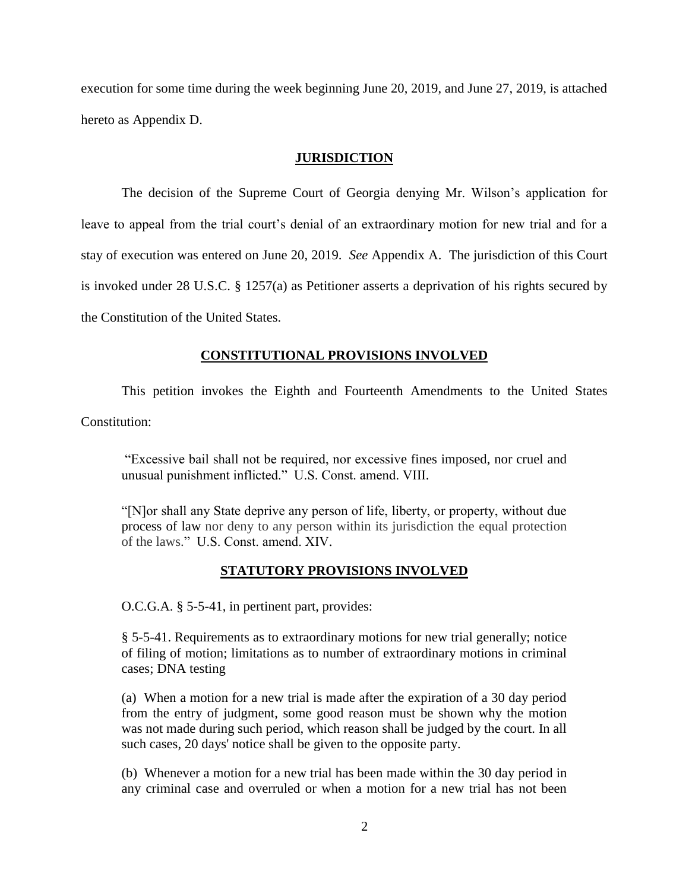execution for some time during the week beginning June 20, 2019, and June 27, 2019, is attached hereto as Appendix D.

#### **JURISDICTION**

The decision of the Supreme Court of Georgia denying Mr. Wilson's application for leave to appeal from the trial court's denial of an extraordinary motion for new trial and for a stay of execution was entered on June 20, 2019. *See* Appendix A. The jurisdiction of this Court is invoked under 28 U.S.C. § 1257(a) as Petitioner asserts a deprivation of his rights secured by the Constitution of the United States.

### **CONSTITUTIONAL PROVISIONS INVOLVED**

This petition invokes the Eighth and Fourteenth Amendments to the United States

Constitution:

"Excessive bail shall not be required, nor excessive fines imposed, nor cruel and unusual punishment inflicted." U.S. Const. amend. VIII.

"[N]or shall any State deprive any person of life, liberty, or property, without due process of law nor deny to any person within its jurisdiction the equal protection of the laws." U.S. Const. amend. XIV.

### **STATUTORY PROVISIONS INVOLVED**

O.C.G.A. § 5-5-41, in pertinent part, provides:

§ 5-5-41. Requirements as to extraordinary motions for new trial generally; notice of filing of motion; limitations as to number of extraordinary motions in criminal cases; DNA testing

(a) When a motion for a new trial is made after the expiration of a 30 day period from the entry of judgment, some good reason must be shown why the motion was not made during such period, which reason shall be judged by the court. In all such cases, 20 days' notice shall be given to the opposite party.

(b) Whenever a motion for a new trial has been made within the 30 day period in any criminal case and overruled or when a motion for a new trial has not been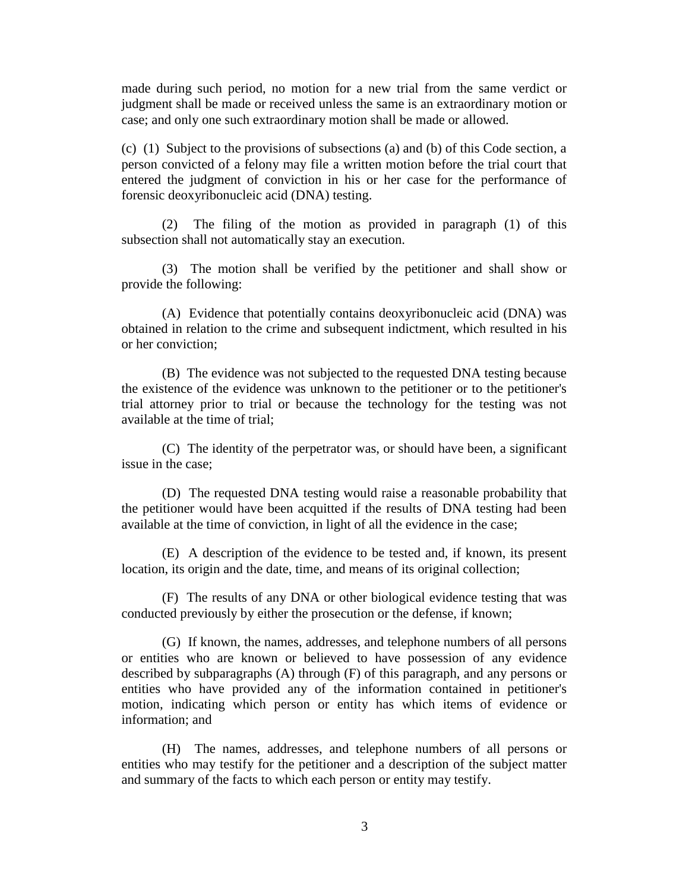made during such period, no motion for a new trial from the same verdict or judgment shall be made or received unless the same is an extraordinary motion or case; and only one such extraordinary motion shall be made or allowed.

(c) (1) Subject to the provisions of subsections (a) and (b) of this Code section, a person convicted of a felony may file a written motion before the trial court that entered the judgment of conviction in his or her case for the performance of forensic deoxyribonucleic acid (DNA) testing.

(2) The filing of the motion as provided in paragraph (1) of this subsection shall not automatically stay an execution.

(3) The motion shall be verified by the petitioner and shall show or provide the following:

(A) Evidence that potentially contains deoxyribonucleic acid (DNA) was obtained in relation to the crime and subsequent indictment, which resulted in his or her conviction;

(B) The evidence was not subjected to the requested DNA testing because the existence of the evidence was unknown to the petitioner or to the petitioner's trial attorney prior to trial or because the technology for the testing was not available at the time of trial;

(C) The identity of the perpetrator was, or should have been, a significant issue in the case;

(D) The requested DNA testing would raise a reasonable probability that the petitioner would have been acquitted if the results of DNA testing had been available at the time of conviction, in light of all the evidence in the case;

(E) A description of the evidence to be tested and, if known, its present location, its origin and the date, time, and means of its original collection;

(F) The results of any DNA or other biological evidence testing that was conducted previously by either the prosecution or the defense, if known;

(G) If known, the names, addresses, and telephone numbers of all persons or entities who are known or believed to have possession of any evidence described by subparagraphs (A) through (F) of this paragraph, and any persons or entities who have provided any of the information contained in petitioner's motion, indicating which person or entity has which items of evidence or information; and

(H) The names, addresses, and telephone numbers of all persons or entities who may testify for the petitioner and a description of the subject matter and summary of the facts to which each person or entity may testify.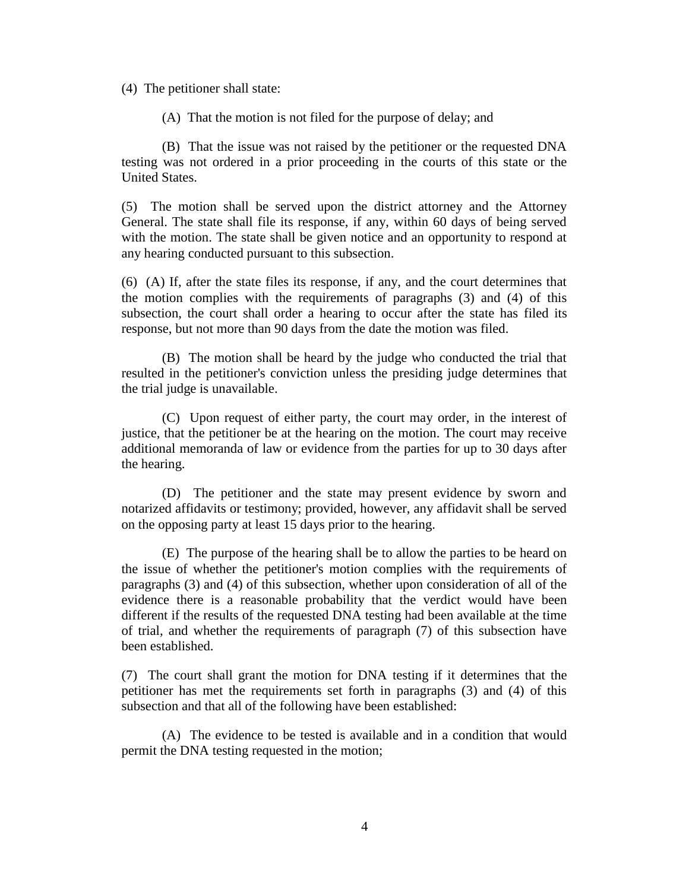(4) The petitioner shall state:

(A) That the motion is not filed for the purpose of delay; and

(B) That the issue was not raised by the petitioner or the requested DNA testing was not ordered in a prior proceeding in the courts of this state or the United States.

(5) The motion shall be served upon the district attorney and the Attorney General. The state shall file its response, if any, within 60 days of being served with the motion. The state shall be given notice and an opportunity to respond at any hearing conducted pursuant to this subsection.

(6) (A) If, after the state files its response, if any, and the court determines that the motion complies with the requirements of paragraphs (3) and (4) of this subsection, the court shall order a hearing to occur after the state has filed its response, but not more than 90 days from the date the motion was filed.

(B) The motion shall be heard by the judge who conducted the trial that resulted in the petitioner's conviction unless the presiding judge determines that the trial judge is unavailable.

(C) Upon request of either party, the court may order, in the interest of justice, that the petitioner be at the hearing on the motion. The court may receive additional memoranda of law or evidence from the parties for up to 30 days after the hearing.

(D) The petitioner and the state may present evidence by sworn and notarized affidavits or testimony; provided, however, any affidavit shall be served on the opposing party at least 15 days prior to the hearing.

(E) The purpose of the hearing shall be to allow the parties to be heard on the issue of whether the petitioner's motion complies with the requirements of paragraphs (3) and (4) of this subsection, whether upon consideration of all of the evidence there is a reasonable probability that the verdict would have been different if the results of the requested DNA testing had been available at the time of trial, and whether the requirements of paragraph (7) of this subsection have been established.

(7) The court shall grant the motion for DNA testing if it determines that the petitioner has met the requirements set forth in paragraphs (3) and (4) of this subsection and that all of the following have been established:

(A) The evidence to be tested is available and in a condition that would permit the DNA testing requested in the motion;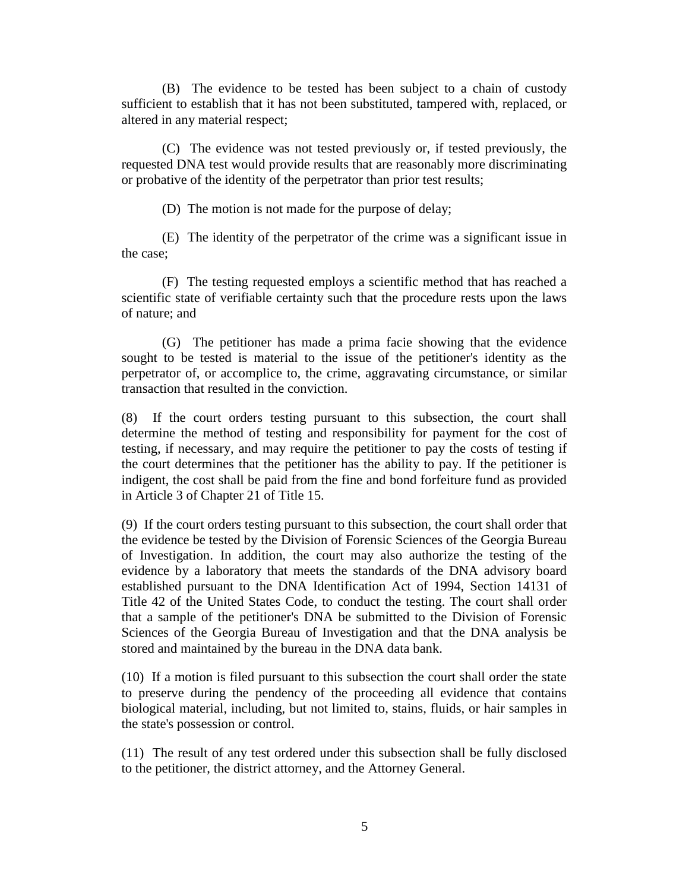(B) The evidence to be tested has been subject to a chain of custody sufficient to establish that it has not been substituted, tampered with, replaced, or altered in any material respect;

(C) The evidence was not tested previously or, if tested previously, the requested DNA test would provide results that are reasonably more discriminating or probative of the identity of the perpetrator than prior test results;

(D) The motion is not made for the purpose of delay;

(E) The identity of the perpetrator of the crime was a significant issue in the case;

(F) The testing requested employs a scientific method that has reached a scientific state of verifiable certainty such that the procedure rests upon the laws of nature; and

(G) The petitioner has made a prima facie showing that the evidence sought to be tested is material to the issue of the petitioner's identity as the perpetrator of, or accomplice to, the crime, aggravating circumstance, or similar transaction that resulted in the conviction.

(8) If the court orders testing pursuant to this subsection, the court shall determine the method of testing and responsibility for payment for the cost of testing, if necessary, and may require the petitioner to pay the costs of testing if the court determines that the petitioner has the ability to pay. If the petitioner is indigent, the cost shall be paid from the fine and bond forfeiture fund as provided in Article 3 of Chapter 21 of Title 15.

(9) If the court orders testing pursuant to this subsection, the court shall order that the evidence be tested by the Division of Forensic Sciences of the Georgia Bureau of Investigation. In addition, the court may also authorize the testing of the evidence by a laboratory that meets the standards of the DNA advisory board established pursuant to the DNA Identification Act of 1994, [Section 14131 of](https://advance.lexis.com/api/document?collection=statutes-legislation&id=urn:contentItem:4YF7-GS31-NRF4-44C7-00000-00&context=)  [Title 42 of the United States Code,](https://advance.lexis.com/api/document?collection=statutes-legislation&id=urn:contentItem:4YF7-GS31-NRF4-44C7-00000-00&context=) to conduct the testing. The court shall order that a sample of the petitioner's DNA be submitted to the Division of Forensic Sciences of the Georgia Bureau of Investigation and that the DNA analysis be stored and maintained by the bureau in the DNA data bank.

(10) If a motion is filed pursuant to this subsection the court shall order the state to preserve during the pendency of the proceeding all evidence that contains biological material, including, but not limited to, stains, fluids, or hair samples in the state's possession or control.

(11) The result of any test ordered under this subsection shall be fully disclosed to the petitioner, the district attorney, and the Attorney General.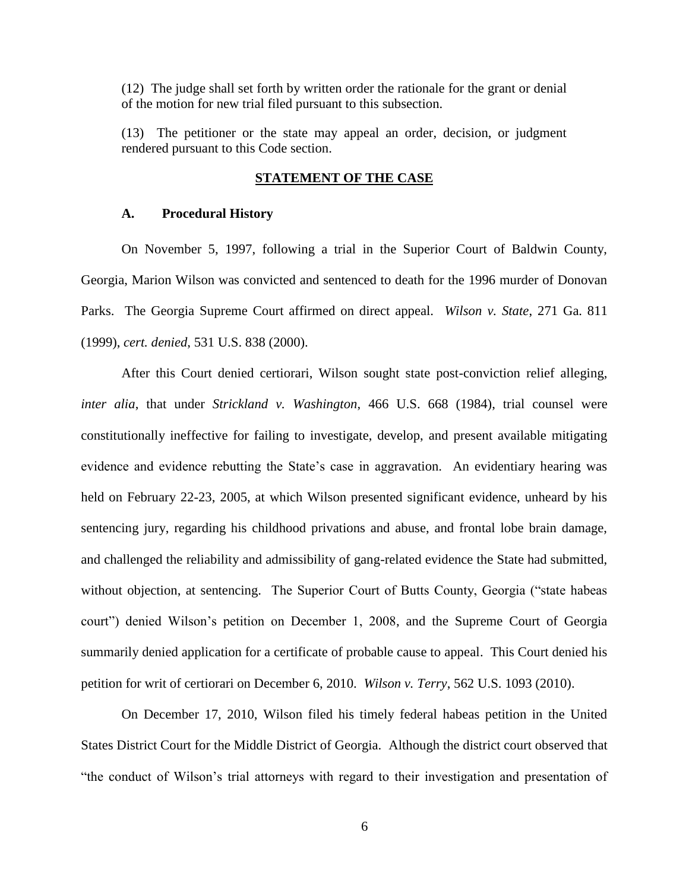(12) The judge shall set forth by written order the rationale for the grant or denial of the motion for new trial filed pursuant to this subsection.

(13) The petitioner or the state may appeal an order, decision, or judgment rendered pursuant to this Code section.

#### **STATEMENT OF THE CASE**

#### **A. Procedural History**

On November 5, 1997, following a trial in the Superior Court of Baldwin County, Georgia, Marion Wilson was convicted and sentenced to death for the 1996 murder of Donovan Parks. The Georgia Supreme Court affirmed on direct appeal. *Wilson v. State*, 271 Ga. 811 (1999), *cert. denied*, 531 U.S. 838 (2000).

After this Court denied certiorari, Wilson sought state post-conviction relief alleging, *inter alia*, that under *Strickland v. Washington*, 466 U.S. 668 (1984), trial counsel were constitutionally ineffective for failing to investigate, develop, and present available mitigating evidence and evidence rebutting the State's case in aggravation. An evidentiary hearing was held on February 22-23, 2005, at which Wilson presented significant evidence, unheard by his sentencing jury, regarding his childhood privations and abuse, and frontal lobe brain damage, and challenged the reliability and admissibility of gang-related evidence the State had submitted, without objection, at sentencing. The Superior Court of Butts County, Georgia ("state habeas court") denied Wilson's petition on December 1, 2008, and the Supreme Court of Georgia summarily denied application for a certificate of probable cause to appeal. This Court denied his petition for writ of certiorari on December 6, 2010. *Wilson v. Terry*, 562 U.S. 1093 (2010).

On December 17, 2010, Wilson filed his timely federal habeas petition in the United States District Court for the Middle District of Georgia. Although the district court observed that "the conduct of Wilson's trial attorneys with regard to their investigation and presentation of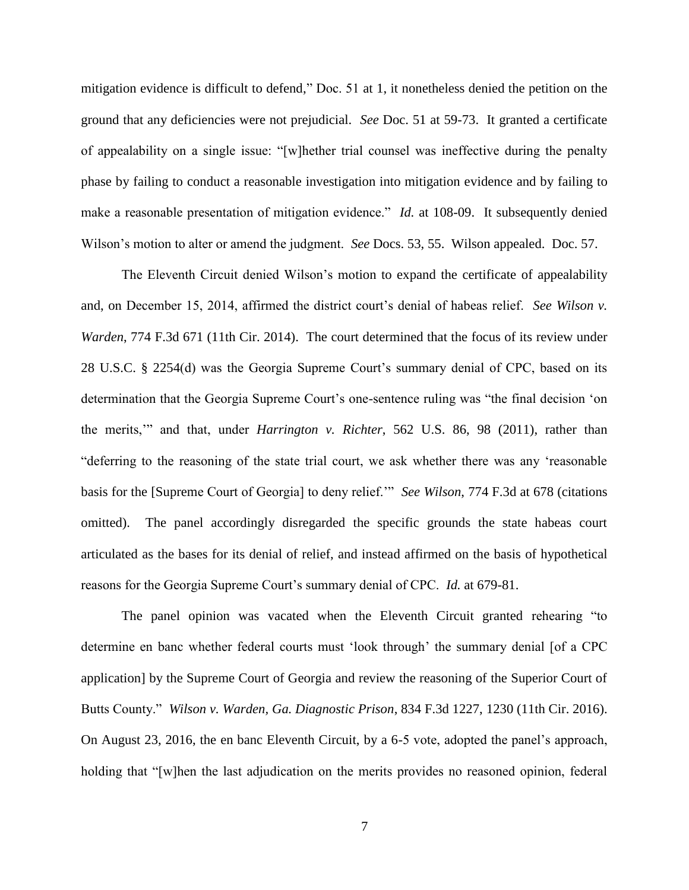mitigation evidence is difficult to defend," Doc. 51 at 1, it nonetheless denied the petition on the ground that any deficiencies were not prejudicial. *See* Doc. 51 at 59-73. It granted a certificate of appealability on a single issue: "[w]hether trial counsel was ineffective during the penalty phase by failing to conduct a reasonable investigation into mitigation evidence and by failing to make a reasonable presentation of mitigation evidence." *Id.* at 108-09. It subsequently denied Wilson's motion to alter or amend the judgment. *See* Docs. 53, 55. Wilson appealed. Doc. 57.

The Eleventh Circuit denied Wilson's motion to expand the certificate of appealability and, on December 15, 2014, affirmed the district court's denial of habeas relief. *See Wilson v. Warden*, 774 F.3d 671 (11th Cir. 2014). The court determined that the focus of its review under 28 U.S.C. § 2254(d) was the Georgia Supreme Court's summary denial of CPC, based on its determination that the Georgia Supreme Court's one-sentence ruling was "the final decision 'on the merits,'" and that, under *Harrington v. Richter*, 562 U.S. 86, 98 (2011), rather than "deferring to the reasoning of the state trial court, we ask whether there was any 'reasonable basis for the [Supreme Court of Georgia] to deny relief.'" *See Wilson*, 774 F.3d at 678 (citations omitted). The panel accordingly disregarded the specific grounds the state habeas court articulated as the bases for its denial of relief, and instead affirmed on the basis of hypothetical reasons for the Georgia Supreme Court's summary denial of CPC. *Id.* at 679-81.

The panel opinion was vacated when the Eleventh Circuit granted rehearing "to determine en banc whether federal courts must 'look through' the summary denial [of a CPC application] by the Supreme Court of Georgia and review the reasoning of the Superior Court of Butts County." *Wilson v. Warden, Ga. Diagnostic Prison*, 834 F.3d 1227, 1230 (11th Cir. 2016). On August 23, 2016, the en banc Eleventh Circuit, by a 6-5 vote, adopted the panel's approach, holding that "[w]hen the last adjudication on the merits provides no reasoned opinion, federal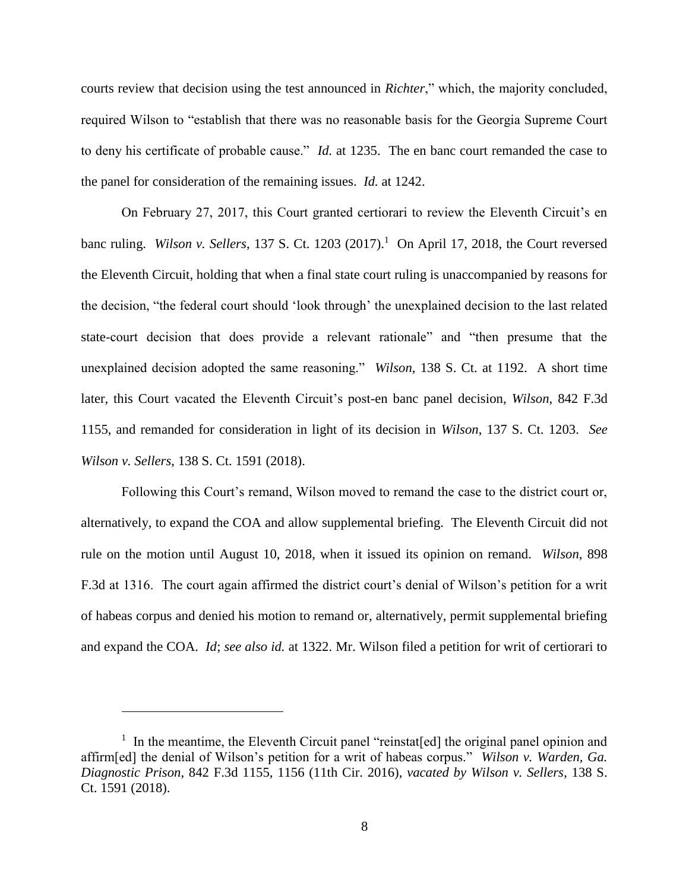courts review that decision using the test announced in *Richter*," which, the majority concluded, required Wilson to "establish that there was no reasonable basis for the Georgia Supreme Court to deny his certificate of probable cause." *Id.* at 1235. The en banc court remanded the case to the panel for consideration of the remaining issues. *Id.* at 1242.

On February 27, 2017, this Court granted certiorari to review the Eleventh Circuit's en banc ruling. *Wilson v. Sellers*, 137 S. Ct. 1203 (2017). 1 On April 17, 2018, the Court reversed the Eleventh Circuit, holding that when a final state court ruling is unaccompanied by reasons for the decision, "the federal court should 'look through' the unexplained decision to the last related state-court decision that does provide a relevant rationale" and "then presume that the unexplained decision adopted the same reasoning." *Wilson*, 138 S. Ct. at 1192. A short time later, this Court vacated the Eleventh Circuit's post-en banc panel decision, *Wilson*, 842 F.3d 1155, and remanded for consideration in light of its decision in *Wilson*, 137 S. Ct. 1203. *See Wilson v. Sellers*, 138 S. Ct. 1591 (2018).

Following this Court's remand, Wilson moved to remand the case to the district court or, alternatively, to expand the COA and allow supplemental briefing. The Eleventh Circuit did not rule on the motion until August 10, 2018, when it issued its opinion on remand. *Wilson*, 898 F.3d at 1316. The court again affirmed the district court's denial of Wilson's petition for a writ of habeas corpus and denied his motion to remand or, alternatively, permit supplemental briefing and expand the COA. *Id*; *see also id.* at 1322. Mr. Wilson filed a petition for writ of certiorari to

<sup>&</sup>lt;sup>1</sup> In the meantime, the Eleventh Circuit panel "reinstat[ed] the original panel opinion and affirm[ed] the denial of Wilson's petition for a writ of habeas corpus." *Wilson v. Warden, Ga. Diagnostic Prison*, 842 F.3d 1155, 1156 (11th Cir. 2016), *vacated by Wilson v. Sellers*, 138 S. Ct. 1591 (2018).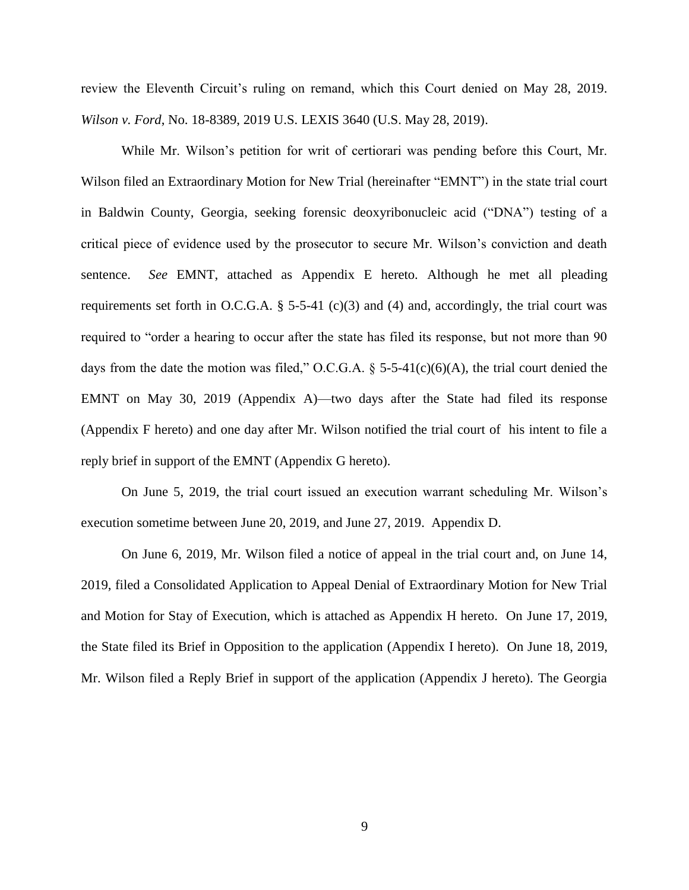review the Eleventh Circuit's ruling on remand, which this Court denied on May 28, 2019. *Wilson v. Ford*, No. 18-8389, 2019 U.S. LEXIS 3640 (U.S. May 28, 2019).

While Mr. Wilson's petition for writ of certiorari was pending before this Court, Mr. Wilson filed an Extraordinary Motion for New Trial (hereinafter "EMNT") in the state trial court in Baldwin County, Georgia, seeking forensic deoxyribonucleic acid ("DNA") testing of a critical piece of evidence used by the prosecutor to secure Mr. Wilson's conviction and death sentence. *See* EMNT, attached as Appendix E hereto. Although he met all pleading requirements set forth in O.C.G.A.  $\S$  5-5-41 (c)(3) and (4) and, accordingly, the trial court was required to "order a hearing to occur after the state has filed its response, but not more than 90 days from the date the motion was filed," O.C.G.A.  $\S$  5-5-41(c)(6)(A), the trial court denied the EMNT on May 30, 2019 (Appendix A)—two days after the State had filed its response (Appendix F hereto) and one day after Mr. Wilson notified the trial court of his intent to file a reply brief in support of the EMNT (Appendix G hereto).

On June 5, 2019, the trial court issued an execution warrant scheduling Mr. Wilson's execution sometime between June 20, 2019, and June 27, 2019. Appendix D.

On June 6, 2019, Mr. Wilson filed a notice of appeal in the trial court and, on June 14, 2019, filed a Consolidated Application to Appeal Denial of Extraordinary Motion for New Trial and Motion for Stay of Execution, which is attached as Appendix H hereto. On June 17, 2019, the State filed its Brief in Opposition to the application (Appendix I hereto). On June 18, 2019, Mr. Wilson filed a Reply Brief in support of the application (Appendix J hereto). The Georgia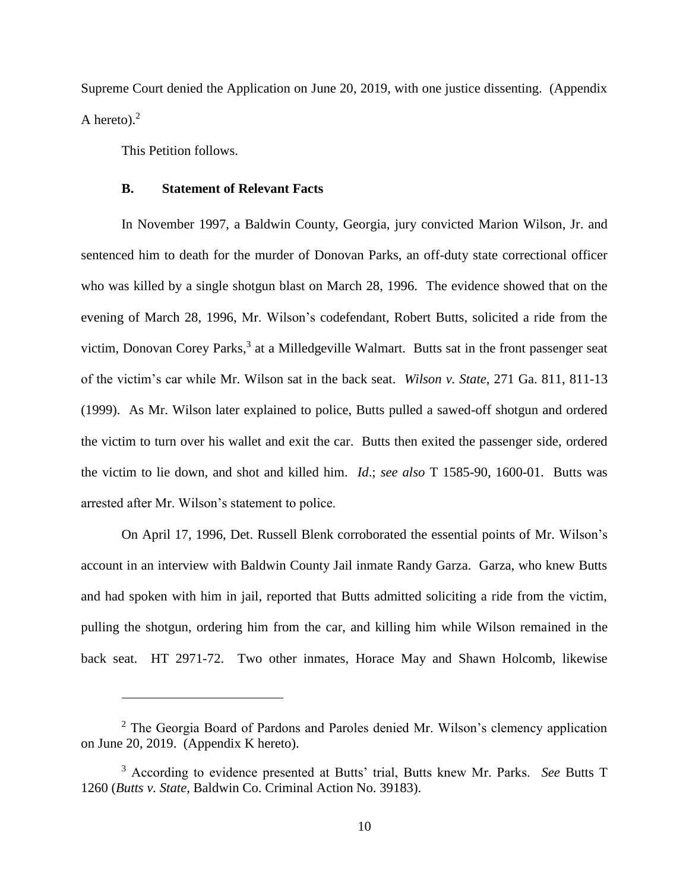Supreme Court denied the Application on June 20, 2019, with one justice dissenting. (Appendix A hereto). $<sup>2</sup>$ </sup>

This Petition follows.

 $\overline{a}$ 

#### **B. Statement of Relevant Facts**

In November 1997, a Baldwin County, Georgia, jury convicted Marion Wilson, Jr. and sentenced him to death for the murder of Donovan Parks, an off-duty state correctional officer who was killed by a single shotgun blast on March 28, 1996. The evidence showed that on the evening of March 28, 1996, Mr. Wilson's codefendant, Robert Butts, solicited a ride from the victim, Donovan Corey Parks,<sup>3</sup> at a Milledgeville Walmart. Butts sat in the front passenger seat of the victim's car while Mr. Wilson sat in the back seat. *Wilson v. State*, 271 Ga. 811, 811-13 (1999). As Mr. Wilson later explained to police, Butts pulled a sawed-off shotgun and ordered the victim to turn over his wallet and exit the car. Butts then exited the passenger side, ordered the victim to lie down, and shot and killed him. *Id*.; *see also* T 1585-90, 1600-01. Butts was arrested after Mr. Wilson's statement to police.

On April 17, 1996, Det. Russell Blenk corroborated the essential points of Mr. Wilson's account in an interview with Baldwin County Jail inmate Randy Garza. Garza, who knew Butts and had spoken with him in jail, reported that Butts admitted soliciting a ride from the victim, pulling the shotgun, ordering him from the car, and killing him while Wilson remained in the back seat. HT 2971-72. Two other inmates, Horace May and Shawn Holcomb, likewise

<sup>2</sup> The Georgia Board of Pardons and Paroles denied Mr. Wilson's clemency application on June 20, 2019. (Appendix K hereto).

<sup>3</sup> According to evidence presented at Butts' trial, Butts knew Mr. Parks. *See* Butts T 1260 (*Butts v. State*, Baldwin Co. Criminal Action No. 39183).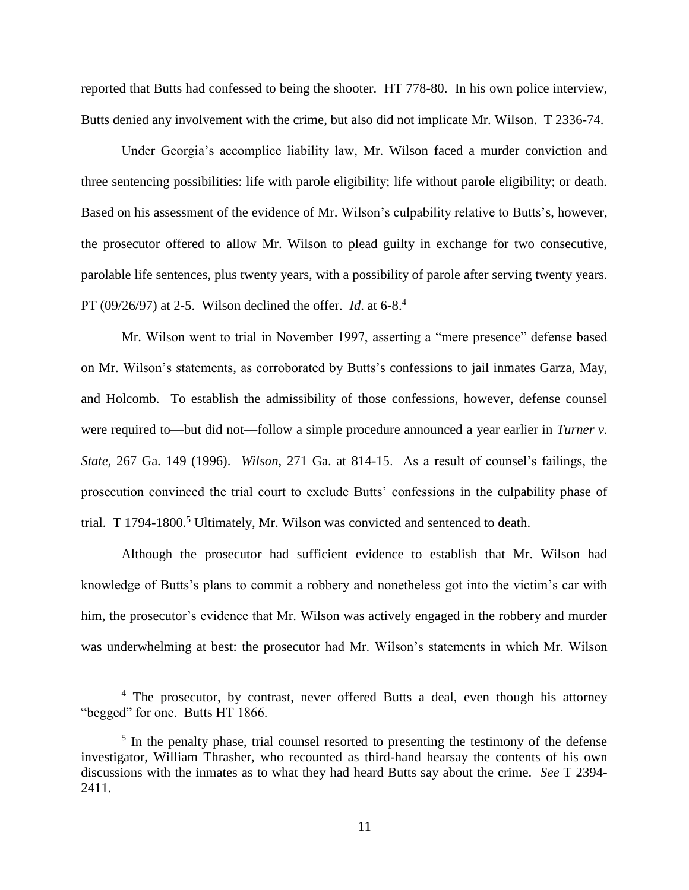reported that Butts had confessed to being the shooter. HT 778-80. In his own police interview, Butts denied any involvement with the crime, but also did not implicate Mr. Wilson. T 2336-74.

Under Georgia's accomplice liability law, Mr. Wilson faced a murder conviction and three sentencing possibilities: life with parole eligibility; life without parole eligibility; or death. Based on his assessment of the evidence of Mr. Wilson's culpability relative to Butts's, however, the prosecutor offered to allow Mr. Wilson to plead guilty in exchange for two consecutive, parolable life sentences, plus twenty years, with a possibility of parole after serving twenty years. PT (09/26/97) at 2-5. Wilson declined the offer. *Id*. at 6-8.<sup>4</sup>

Mr. Wilson went to trial in November 1997, asserting a "mere presence" defense based on Mr. Wilson's statements, as corroborated by Butts's confessions to jail inmates Garza, May, and Holcomb. To establish the admissibility of those confessions, however, defense counsel were required to—but did not—follow a simple procedure announced a year earlier in *Turner v. State*, 267 Ga. 149 (1996). *Wilson*, 271 Ga. at 814-15. As a result of counsel's failings, the prosecution convinced the trial court to exclude Butts' confessions in the culpability phase of trial. T  $1794-1800$ <sup>5</sup> Ultimately, Mr. Wilson was convicted and sentenced to death.

Although the prosecutor had sufficient evidence to establish that Mr. Wilson had knowledge of Butts's plans to commit a robbery and nonetheless got into the victim's car with him, the prosecutor's evidence that Mr. Wilson was actively engaged in the robbery and murder was underwhelming at best: the prosecutor had Mr. Wilson's statements in which Mr. Wilson

<sup>&</sup>lt;sup>4</sup> The prosecutor, by contrast, never offered Butts a deal, even though his attorney "begged" for one. Butts HT 1866.

<sup>&</sup>lt;sup>5</sup> In the penalty phase, trial counsel resorted to presenting the testimony of the defense investigator, William Thrasher, who recounted as third-hand hearsay the contents of his own discussions with the inmates as to what they had heard Butts say about the crime. *See* T 2394- 2411.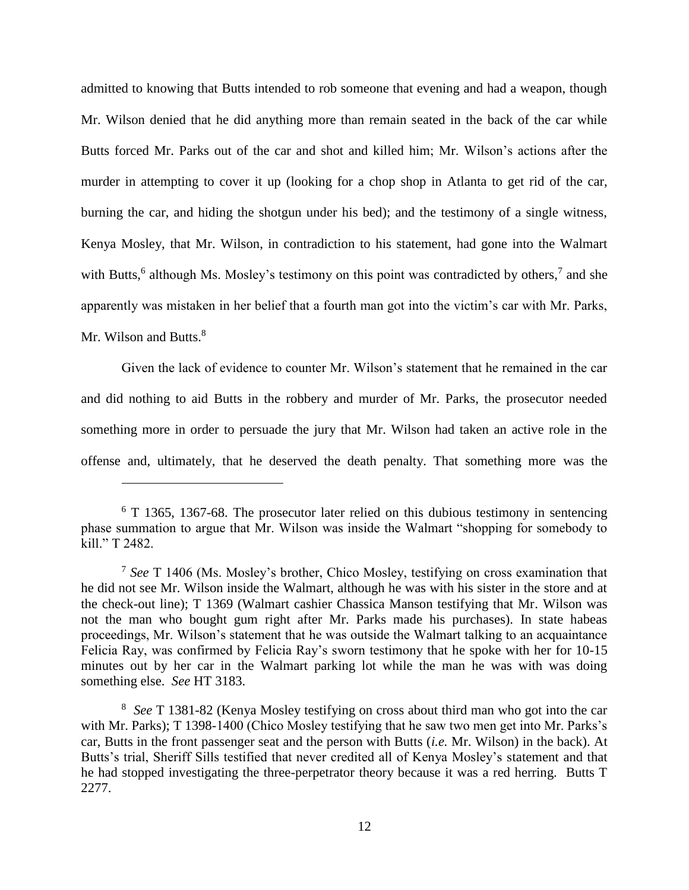admitted to knowing that Butts intended to rob someone that evening and had a weapon, though Mr. Wilson denied that he did anything more than remain seated in the back of the car while Butts forced Mr. Parks out of the car and shot and killed him; Mr. Wilson's actions after the murder in attempting to cover it up (looking for a chop shop in Atlanta to get rid of the car, burning the car, and hiding the shotgun under his bed); and the testimony of a single witness, Kenya Mosley, that Mr. Wilson, in contradiction to his statement, had gone into the Walmart with Butts,<sup>6</sup> although Ms. Mosley's testimony on this point was contradicted by others,<sup>7</sup> and she apparently was mistaken in her belief that a fourth man got into the victim's car with Mr. Parks, Mr. Wilson and Butts.<sup>8</sup>

Given the lack of evidence to counter Mr. Wilson's statement that he remained in the car and did nothing to aid Butts in the robbery and murder of Mr. Parks, the prosecutor needed something more in order to persuade the jury that Mr. Wilson had taken an active role in the offense and, ultimately, that he deserved the death penalty. That something more was the

<sup>&</sup>lt;sup>6</sup> T 1365, 1367-68. The prosecutor later relied on this dubious testimony in sentencing phase summation to argue that Mr. Wilson was inside the Walmart "shopping for somebody to kill." T 2482.

<sup>7</sup> *See* T 1406 (Ms. Mosley's brother, Chico Mosley, testifying on cross examination that he did not see Mr. Wilson inside the Walmart, although he was with his sister in the store and at the check-out line); T 1369 (Walmart cashier Chassica Manson testifying that Mr. Wilson was not the man who bought gum right after Mr. Parks made his purchases). In state habeas proceedings, Mr. Wilson's statement that he was outside the Walmart talking to an acquaintance Felicia Ray, was confirmed by Felicia Ray's sworn testimony that he spoke with her for 10-15 minutes out by her car in the Walmart parking lot while the man he was with was doing something else. *See* HT 3183.

<sup>8</sup> *See* T 1381-82 (Kenya Mosley testifying on cross about third man who got into the car with Mr. Parks); T 1398-1400 (Chico Mosley testifying that he saw two men get into Mr. Parks's car, Butts in the front passenger seat and the person with Butts (*i.e.* Mr. Wilson) in the back). At Butts's trial, Sheriff Sills testified that never credited all of Kenya Mosley's statement and that he had stopped investigating the three-perpetrator theory because it was a red herring. Butts T 2277.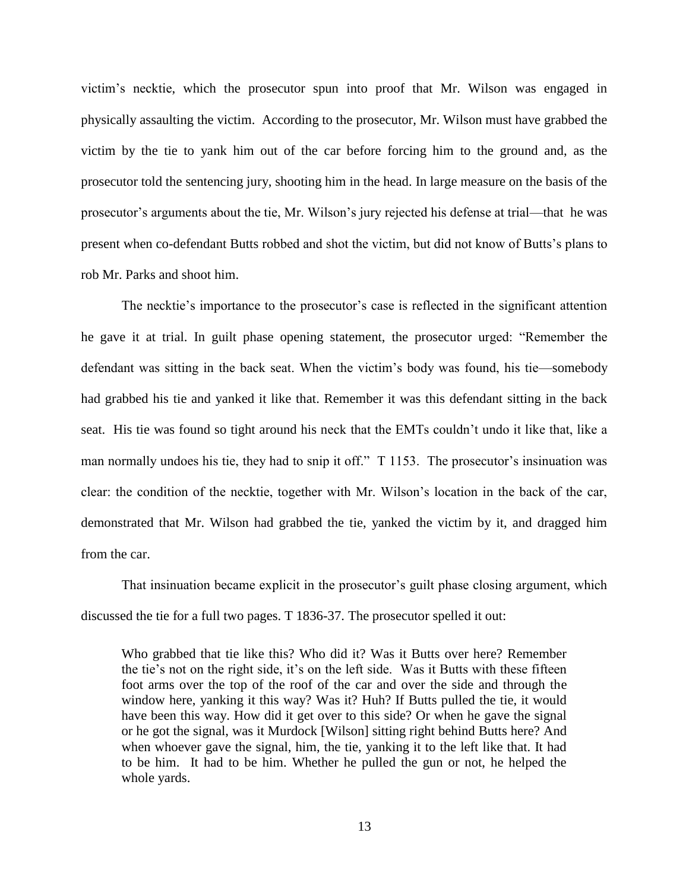victim's necktie, which the prosecutor spun into proof that Mr. Wilson was engaged in physically assaulting the victim. According to the prosecutor, Mr. Wilson must have grabbed the victim by the tie to yank him out of the car before forcing him to the ground and, as the prosecutor told the sentencing jury, shooting him in the head. In large measure on the basis of the prosecutor's arguments about the tie, Mr. Wilson's jury rejected his defense at trial—that he was present when co-defendant Butts robbed and shot the victim, but did not know of Butts's plans to rob Mr. Parks and shoot him.

The necktie's importance to the prosecutor's case is reflected in the significant attention he gave it at trial. In guilt phase opening statement, the prosecutor urged: "Remember the defendant was sitting in the back seat. When the victim's body was found, his tie—somebody had grabbed his tie and yanked it like that. Remember it was this defendant sitting in the back seat. His tie was found so tight around his neck that the EMTs couldn't undo it like that, like a man normally undoes his tie, they had to snip it off." T 1153. The prosecutor's insinuation was clear: the condition of the necktie, together with Mr. Wilson's location in the back of the car, demonstrated that Mr. Wilson had grabbed the tie, yanked the victim by it, and dragged him from the car.

That insinuation became explicit in the prosecutor's guilt phase closing argument, which discussed the tie for a full two pages. T 1836-37. The prosecutor spelled it out:

Who grabbed that tie like this? Who did it? Was it Butts over here? Remember the tie's not on the right side, it's on the left side. Was it Butts with these fifteen foot arms over the top of the roof of the car and over the side and through the window here, yanking it this way? Was it? Huh? If Butts pulled the tie, it would have been this way. How did it get over to this side? Or when he gave the signal or he got the signal, was it Murdock [Wilson] sitting right behind Butts here? And when whoever gave the signal, him, the tie, yanking it to the left like that. It had to be him. It had to be him. Whether he pulled the gun or not, he helped the whole yards.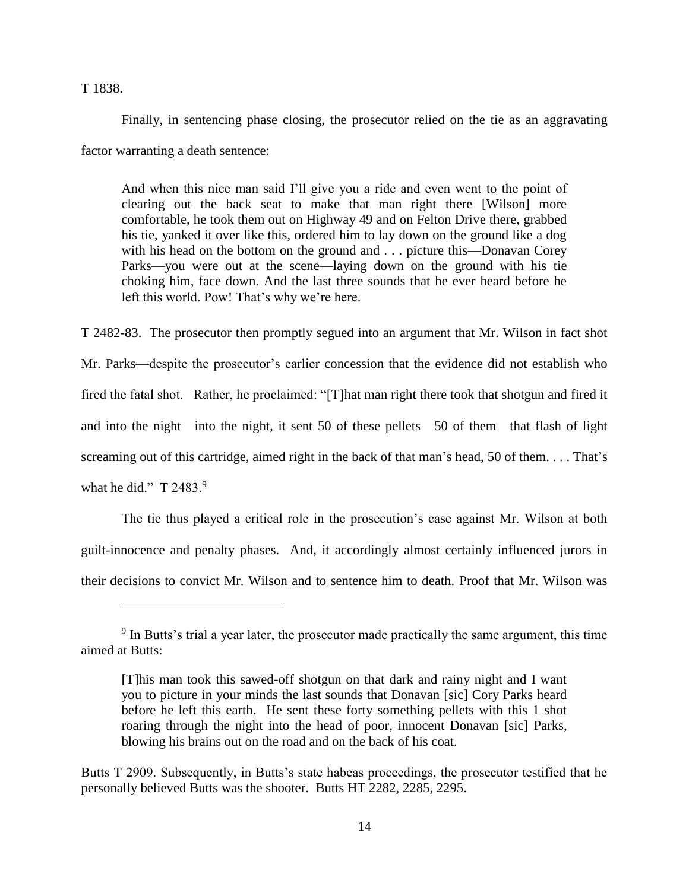T 1838.

 $\overline{a}$ 

Finally, in sentencing phase closing, the prosecutor relied on the tie as an aggravating factor warranting a death sentence:

And when this nice man said I'll give you a ride and even went to the point of clearing out the back seat to make that man right there [Wilson] more comfortable, he took them out on Highway 49 and on Felton Drive there, grabbed his tie, yanked it over like this, ordered him to lay down on the ground like a dog with his head on the bottom on the ground and . . . picture this—Donavan Corey Parks—you were out at the scene—laying down on the ground with his tie choking him, face down. And the last three sounds that he ever heard before he left this world. Pow! That's why we're here.

T 2482-83. The prosecutor then promptly segued into an argument that Mr. Wilson in fact shot Mr. Parks—despite the prosecutor's earlier concession that the evidence did not establish who fired the fatal shot. Rather, he proclaimed: "[T]hat man right there took that shotgun and fired it and into the night—into the night, it sent 50 of these pellets—50 of them—that flash of light screaming out of this cartridge, aimed right in the back of that man's head, 50 of them. . . . That's what he did."  $T$  2483.9

The tie thus played a critical role in the prosecution's case against Mr. Wilson at both guilt-innocence and penalty phases. And, it accordingly almost certainly influenced jurors in their decisions to convict Mr. Wilson and to sentence him to death. Proof that Mr. Wilson was

<sup>&</sup>lt;sup>9</sup> In Butts's trial a year later, the prosecutor made practically the same argument, this time aimed at Butts:

<sup>[</sup>T]his man took this sawed-off shotgun on that dark and rainy night and I want you to picture in your minds the last sounds that Donavan [sic] Cory Parks heard before he left this earth. He sent these forty something pellets with this 1 shot roaring through the night into the head of poor, innocent Donavan [sic] Parks, blowing his brains out on the road and on the back of his coat.

Butts T 2909. Subsequently, in Butts's state habeas proceedings, the prosecutor testified that he personally believed Butts was the shooter. Butts HT 2282, 2285, 2295.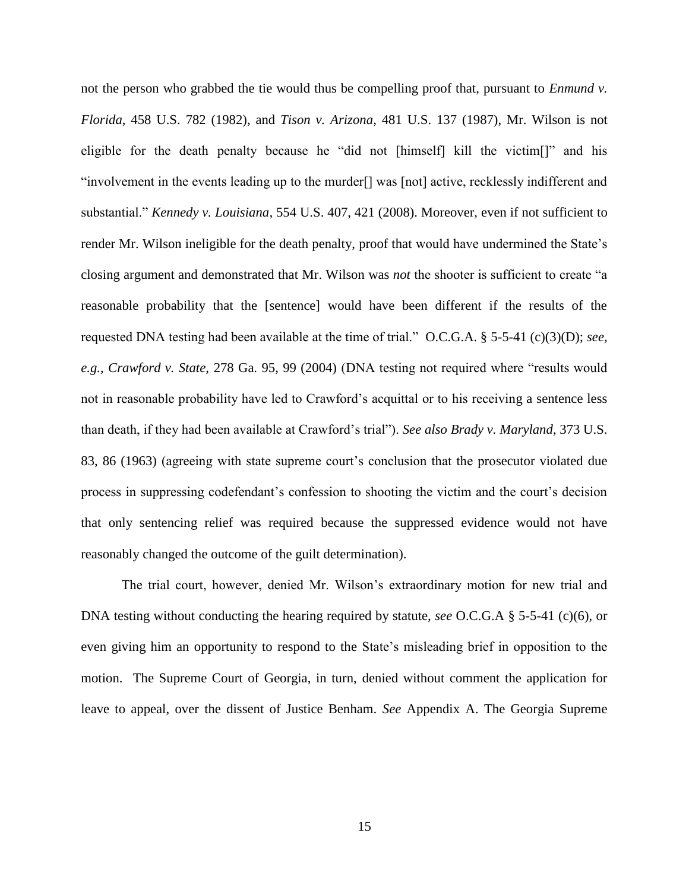not the person who grabbed the tie would thus be compelling proof that, pursuant to *Enmund v. Florida*, 458 U.S. 782 (1982), and *Tison v. Arizona*, 481 U.S. 137 (1987), Mr. Wilson is not eligible for the death penalty because he "did not [himself] kill the victim[]" and his "involvement in the events leading up to the murder[] was [not] active, recklessly indifferent and substantial." *Kennedy v. Louisiana*, 554 U.S. 407, 421 (2008). Moreover, even if not sufficient to render Mr. Wilson ineligible for the death penalty, proof that would have undermined the State's closing argument and demonstrated that Mr. Wilson was *not* the shooter is sufficient to create "a reasonable probability that the [sentence] would have been different if the results of the requested DNA testing had been available at the time of trial." O.C.G.A. § 5-5-41 (c)(3)(D); *see, e.g.*, *Crawford v. State*, 278 Ga. 95, 99 (2004) (DNA testing not required where "results would not in reasonable probability have led to Crawford's acquittal or to his receiving a sentence less than death, if they had been available at Crawford's trial"). *See also Brady v. Maryland*, 373 U.S. 83, 86 (1963) (agreeing with state supreme court's conclusion that the prosecutor violated due process in suppressing codefendant's confession to shooting the victim and the court's decision that only sentencing relief was required because the suppressed evidence would not have reasonably changed the outcome of the guilt determination).

The trial court, however, denied Mr. Wilson's extraordinary motion for new trial and DNA testing without conducting the hearing required by statute, *see* O.C.G.A § 5-5-41 (c)(6), or even giving him an opportunity to respond to the State's misleading brief in opposition to the motion. The Supreme Court of Georgia, in turn, denied without comment the application for leave to appeal, over the dissent of Justice Benham. *See* Appendix A. The Georgia Supreme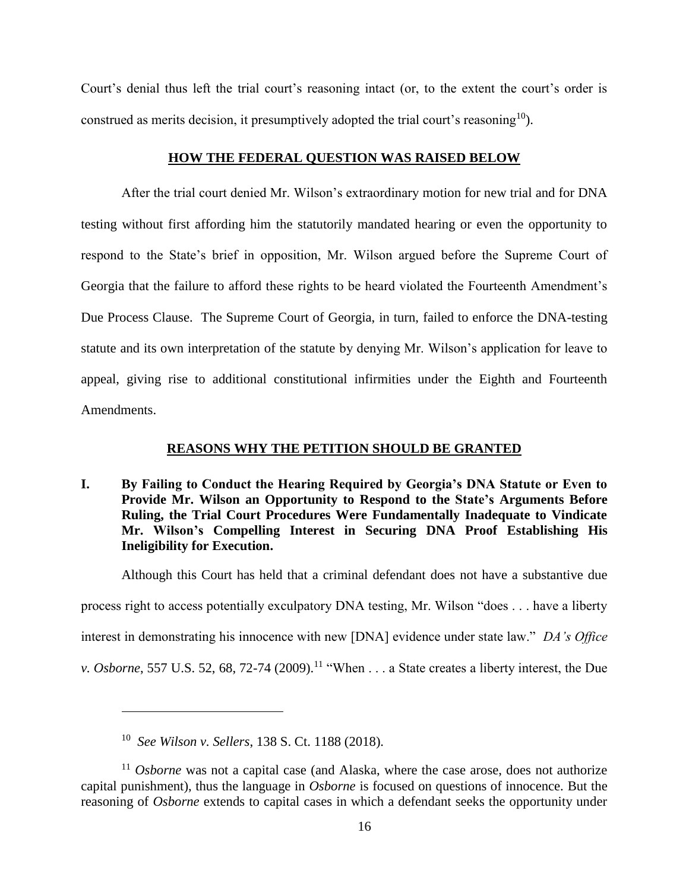Court's denial thus left the trial court's reasoning intact (or, to the extent the court's order is construed as merits decision, it presumptively adopted the trial court's reasoning<sup>10</sup>).

#### **HOW THE FEDERAL QUESTION WAS RAISED BELOW**

After the trial court denied Mr. Wilson's extraordinary motion for new trial and for DNA testing without first affording him the statutorily mandated hearing or even the opportunity to respond to the State's brief in opposition, Mr. Wilson argued before the Supreme Court of Georgia that the failure to afford these rights to be heard violated the Fourteenth Amendment's Due Process Clause. The Supreme Court of Georgia, in turn, failed to enforce the DNA-testing statute and its own interpretation of the statute by denying Mr. Wilson's application for leave to appeal, giving rise to additional constitutional infirmities under the Eighth and Fourteenth Amendments.

### **REASONS WHY THE PETITION SHOULD BE GRANTED**

**I. By Failing to Conduct the Hearing Required by Georgia's DNA Statute or Even to Provide Mr. Wilson an Opportunity to Respond to the State's Arguments Before Ruling, the Trial Court Procedures Were Fundamentally Inadequate to Vindicate Mr. Wilson's Compelling Interest in Securing DNA Proof Establishing His Ineligibility for Execution.**

Although this Court has held that a criminal defendant does not have a substantive due process right to access potentially exculpatory DNA testing, Mr. Wilson "does . . . have a liberty interest in demonstrating his innocence with new [DNA] evidence under state law." *DA's Office v. Osborne*, 557 U.S. 52, 68, 72-74 (2009).<sup>11</sup> "When . . . a State creates a liberty interest, the Due

<sup>10</sup> *See Wilson v. Sellers*, 138 S. Ct. 1188 (2018).

<sup>&</sup>lt;sup>11</sup> *Osborne* was not a capital case (and Alaska, where the case arose, does not authorize capital punishment), thus the language in *Osborne* is focused on questions of innocence. But the reasoning of *Osborne* extends to capital cases in which a defendant seeks the opportunity under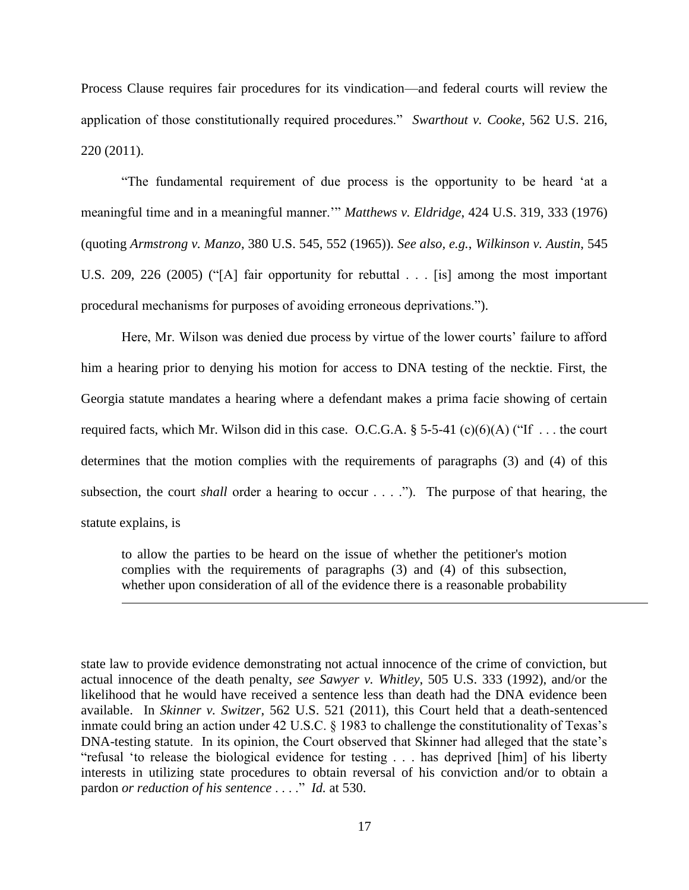Process Clause requires fair procedures for its vindication—and federal courts will review the application of those constitutionally required procedures." *Swarthout v. Cooke*, 562 U.S. 216, 220 (2011).

"The fundamental requirement of due process is the opportunity to be heard 'at a meaningful time and in a meaningful manner.'" *Matthews v. Eldridge*, 424 U.S. 319, 333 (1976) (quoting *Armstrong v. Manzo*, 380 U.S. 545, 552 (1965)). *See also, e.g.*, *Wilkinson v. Austin*, 545 U.S. 209, 226 (2005) ("[A] fair opportunity for rebuttal . . . [is] among the most important procedural mechanisms for purposes of avoiding erroneous deprivations.").

Here, Mr. Wilson was denied due process by virtue of the lower courts' failure to afford him a hearing prior to denying his motion for access to DNA testing of the necktie. First, the Georgia statute mandates a hearing where a defendant makes a prima facie showing of certain required facts, which Mr. Wilson did in this case. O.C.G.A.  $\S$  5-5-41 (c)(6)(A) ("If ... the court determines that the motion complies with the requirements of paragraphs (3) and (4) of this subsection, the court *shall* order a hearing to occur . . . ."). The purpose of that hearing, the statute explains, is

to allow the parties to be heard on the issue of whether the petitioner's motion complies with the requirements of paragraphs (3) and (4) of this subsection, whether upon consideration of all of the evidence there is a reasonable probability

 $\overline{a}$ 

state law to provide evidence demonstrating not actual innocence of the crime of conviction, but actual innocence of the death penalty, *see Sawyer v. Whitley*, 505 U.S. 333 (1992), and/or the likelihood that he would have received a sentence less than death had the DNA evidence been available. In *Skinner v. Switzer*, 562 U.S. 521 (2011), this Court held that a death-sentenced inmate could bring an action under 42 U.S.C. § 1983 to challenge the constitutionality of Texas's DNA-testing statute. In its opinion, the Court observed that Skinner had alleged that the state's "refusal 'to release the biological evidence for testing . . . has deprived [him] of his liberty interests in utilizing state procedures to obtain reversal of his conviction and/or to obtain a pardon *or reduction of his sentence* . . . ." *Id.* at 530.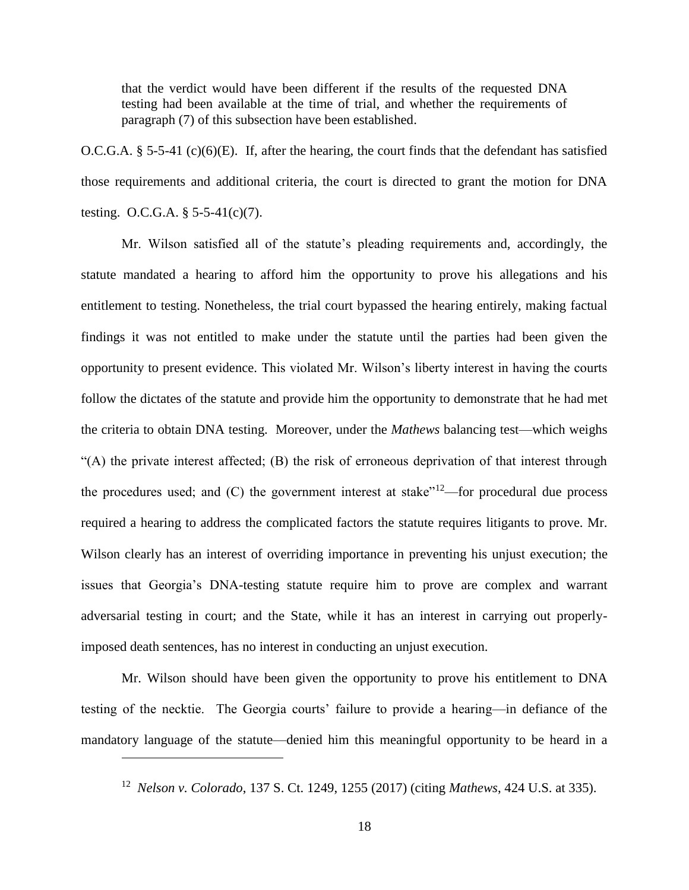that the verdict would have been different if the results of the requested DNA testing had been available at the time of trial, and whether the requirements of paragraph (7) of this subsection have been established.

O.C.G.A.  $\S 5-5-41$  (c)(6)(E). If, after the hearing, the court finds that the defendant has satisfied those requirements and additional criteria, the court is directed to grant the motion for DNA testing. O.C.G.A.  $\S$  5-5-41(c)(7).

Mr. Wilson satisfied all of the statute's pleading requirements and, accordingly, the statute mandated a hearing to afford him the opportunity to prove his allegations and his entitlement to testing. Nonetheless, the trial court bypassed the hearing entirely, making factual findings it was not entitled to make under the statute until the parties had been given the opportunity to present evidence. This violated Mr. Wilson's liberty interest in having the courts follow the dictates of the statute and provide him the opportunity to demonstrate that he had met the criteria to obtain DNA testing. Moreover, under the *Mathews* balancing test—which weighs "(A) the private interest affected; (B) the risk of erroneous deprivation of that interest through the procedures used; and  $(C)$  the government interest at stake"<sup>12</sup>—for procedural due process required a hearing to address the complicated factors the statute requires litigants to prove. Mr. Wilson clearly has an interest of overriding importance in preventing his unjust execution; the issues that Georgia's DNA-testing statute require him to prove are complex and warrant adversarial testing in court; and the State, while it has an interest in carrying out properlyimposed death sentences, has no interest in conducting an unjust execution.

Mr. Wilson should have been given the opportunity to prove his entitlement to DNA testing of the necktie. The Georgia courts' failure to provide a hearing—in defiance of the mandatory language of the statute—denied him this meaningful opportunity to be heard in a

<sup>12</sup> *Nelson v. Colorado*, 137 S. Ct. 1249, 1255 (2017) (citing *Mathews*, 424 U.S. at 335).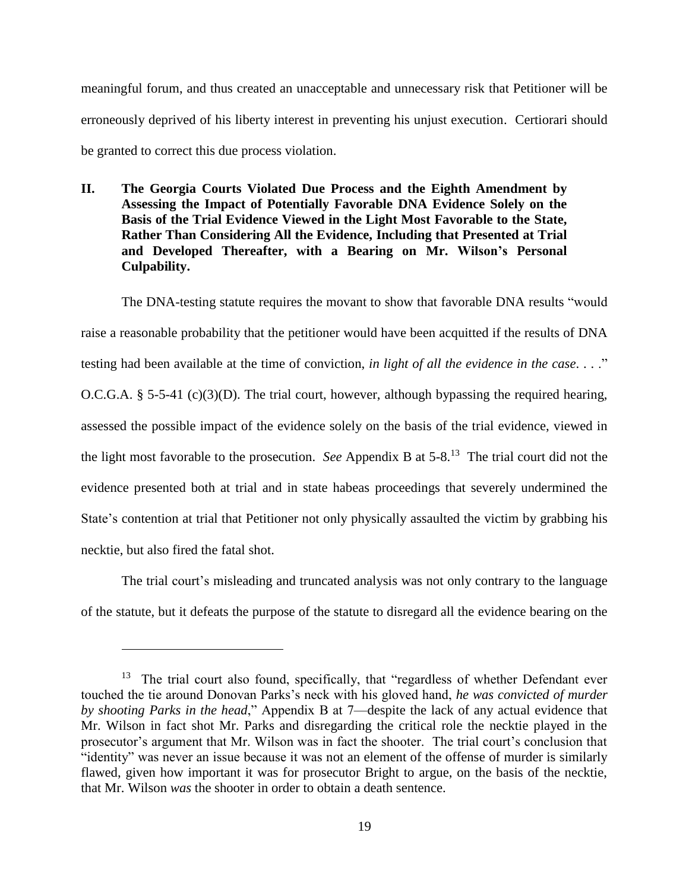meaningful forum, and thus created an unacceptable and unnecessary risk that Petitioner will be erroneously deprived of his liberty interest in preventing his unjust execution. Certiorari should be granted to correct this due process violation.

**II. The Georgia Courts Violated Due Process and the Eighth Amendment by Assessing the Impact of Potentially Favorable DNA Evidence Solely on the Basis of the Trial Evidence Viewed in the Light Most Favorable to the State, Rather Than Considering All the Evidence, Including that Presented at Trial and Developed Thereafter, with a Bearing on Mr. Wilson's Personal Culpability.**

The DNA-testing statute requires the movant to show that favorable DNA results "would raise a reasonable probability that the petitioner would have been acquitted if the results of DNA testing had been available at the time of conviction, *in light of all the evidence in the case*. . . ." O.C.G.A. § 5-5-41 (c)(3)(D). The trial court, however, although bypassing the required hearing, assessed the possible impact of the evidence solely on the basis of the trial evidence, viewed in the light most favorable to the prosecution. *See* Appendix B at 5-8. <sup>13</sup> The trial court did not the evidence presented both at trial and in state habeas proceedings that severely undermined the State's contention at trial that Petitioner not only physically assaulted the victim by grabbing his necktie, but also fired the fatal shot.

The trial court's misleading and truncated analysis was not only contrary to the language of the statute, but it defeats the purpose of the statute to disregard all the evidence bearing on the

<sup>&</sup>lt;sup>13</sup> The trial court also found, specifically, that "regardless of whether Defendant ever touched the tie around Donovan Parks's neck with his gloved hand, *he was convicted of murder by shooting Parks in the head*," Appendix B at 7—despite the lack of any actual evidence that Mr. Wilson in fact shot Mr. Parks and disregarding the critical role the necktie played in the prosecutor's argument that Mr. Wilson was in fact the shooter. The trial court's conclusion that "identity" was never an issue because it was not an element of the offense of murder is similarly flawed, given how important it was for prosecutor Bright to argue, on the basis of the necktie, that Mr. Wilson *was* the shooter in order to obtain a death sentence.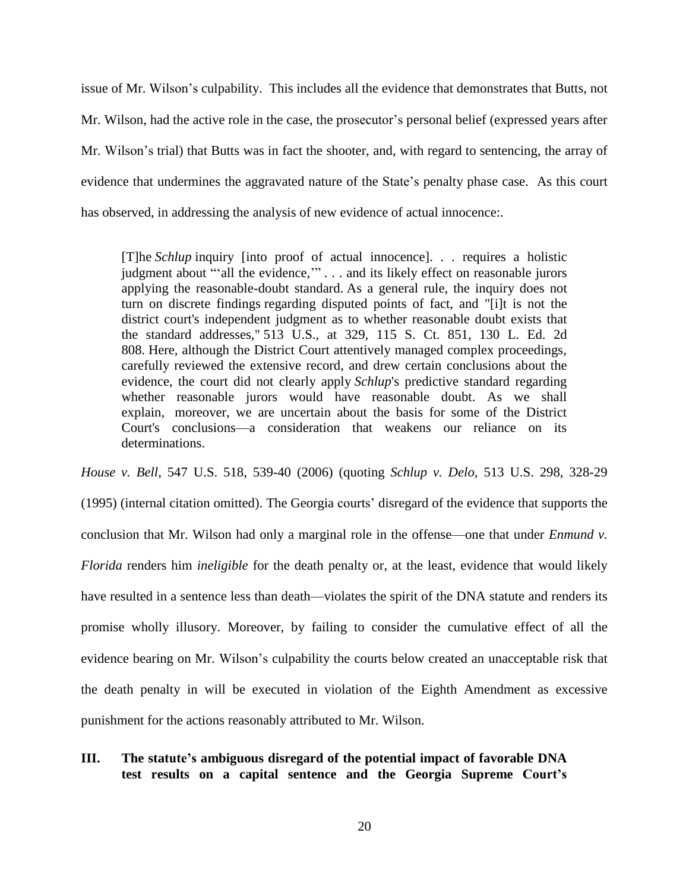issue of Mr. Wilson's culpability. This includes all the evidence that demonstrates that Butts, not Mr. Wilson, had the active role in the case, the prosecutor's personal belief (expressed years after Mr. Wilson's trial) that Butts was in fact the shooter, and, with regard to sentencing, the array of evidence that undermines the aggravated nature of the State's penalty phase case. As this court has observed, in addressing the analysis of new evidence of actual innocence:.

[T]he *Schlup* inquiry [into proof of actual innocence]. . . requires a holistic judgment about "'all the evidence,'" . . . and its likely effect on reasonable jurors applying the reasonable-doubt standard. As a general rule, the inquiry does not turn on discrete findings regarding disputed points of fact, and "[i]t is not the district court's independent judgment as to whether reasonable doubt exists that the standard addresses," 513 U.S., at 329, 115 S. Ct. 851, 130 L. Ed. 2d 808. Here, although the District Court attentively managed complex proceedings, carefully reviewed the extensive record, and drew certain conclusions about the evidence, the court did not clearly apply *Schlup*'s predictive standard regarding whether reasonable jurors would have reasonable doubt. As we shall explain, moreover, we are uncertain about the basis for some of the District Court's conclusions—a consideration that weakens our reliance on its determinations.

*House v. Bell*, 547 U.S. 518, 539-40 (2006) (quoting *Schlup v. Delo*, 513 U.S. 298, 328-29 (1995) (internal citation omitted). The Georgia courts' disregard of the evidence that supports the conclusion that Mr. Wilson had only a marginal role in the offense—one that under *Enmund v. Florida* renders him *ineligible* for the death penalty or, at the least, evidence that would likely have resulted in a sentence less than death—violates the spirit of the DNA statute and renders its promise wholly illusory. Moreover, by failing to consider the cumulative effect of all the evidence bearing on Mr. Wilson's culpability the courts below created an unacceptable risk that the death penalty in will be executed in violation of the Eighth Amendment as excessive punishment for the actions reasonably attributed to Mr. Wilson.

# **III. The statute's ambiguous disregard of the potential impact of favorable DNA test results on a capital sentence and the Georgia Supreme Court's**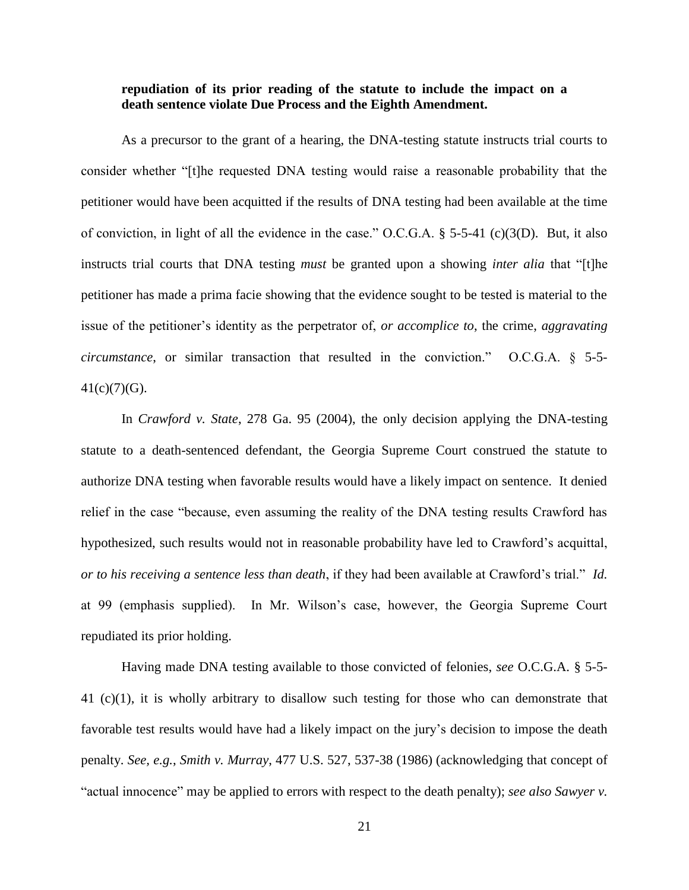### **repudiation of its prior reading of the statute to include the impact on a death sentence violate Due Process and the Eighth Amendment.**

As a precursor to the grant of a hearing, the DNA-testing statute instructs trial courts to consider whether "[t]he requested DNA testing would raise a reasonable probability that the petitioner would have been acquitted if the results of DNA testing had been available at the time of conviction, in light of all the evidence in the case." O.C.G.A. § 5-5-41 (c)(3(D). But, it also instructs trial courts that DNA testing *must* be granted upon a showing *inter alia* that "[t]he petitioner has made a prima facie showing that the evidence sought to be tested is material to the issue of the petitioner's identity as the perpetrator of, *or accomplice to*, the crime, *aggravating circumstance*, or similar transaction that resulted in the conviction." O.C.G.A. § 5-5-  $41(c)(7)(G)$ .

In *Crawford v. State*, 278 Ga. 95 (2004), the only decision applying the DNA-testing statute to a death-sentenced defendant, the Georgia Supreme Court construed the statute to authorize DNA testing when favorable results would have a likely impact on sentence. It denied relief in the case "because, even assuming the reality of the DNA testing results Crawford has hypothesized, such results would not in reasonable probability have led to Crawford's acquittal, *or to his receiving a sentence less than death*, if they had been available at Crawford's trial." *Id.* at 99 (emphasis supplied). In Mr. Wilson's case, however, the Georgia Supreme Court repudiated its prior holding.

Having made DNA testing available to those convicted of felonies, *see* O.C.G.A. § 5-5- 41 (c)(1), it is wholly arbitrary to disallow such testing for those who can demonstrate that favorable test results would have had a likely impact on the jury's decision to impose the death penalty. *See, e.g.*, *Smith v. Murray*, 477 U.S. 527, 537-38 (1986) (acknowledging that concept of "actual innocence" may be applied to errors with respect to the death penalty); *see also Sawyer v.*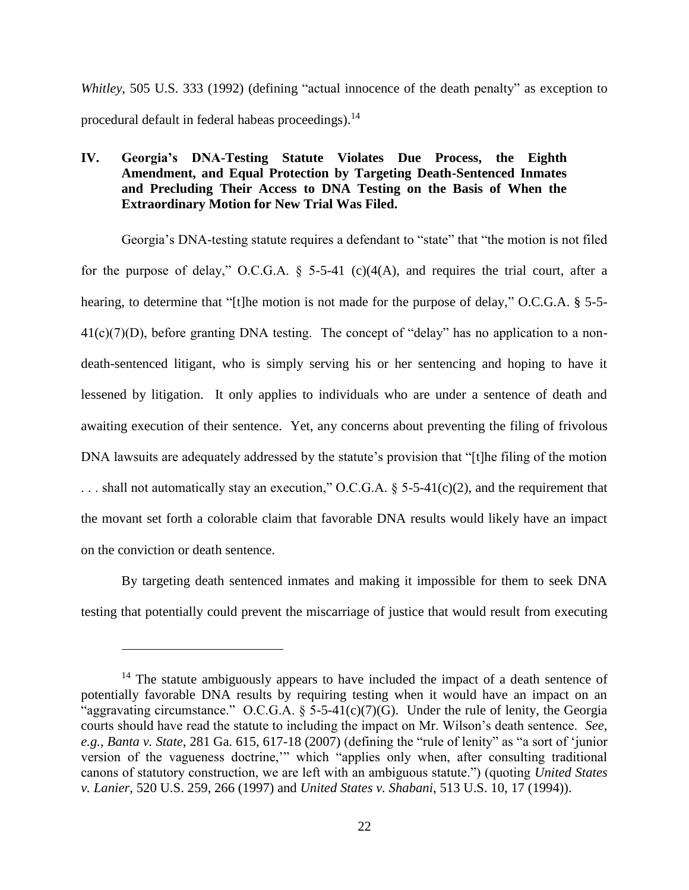*Whitley*, 505 U.S. 333 (1992) (defining "actual innocence of the death penalty" as exception to procedural default in federal habeas proceedings).<sup>14</sup>

# **IV. Georgia's DNA-Testing Statute Violates Due Process, the Eighth Amendment, and Equal Protection by Targeting Death-Sentenced Inmates and Precluding Their Access to DNA Testing on the Basis of When the Extraordinary Motion for New Trial Was Filed.**

Georgia's DNA-testing statute requires a defendant to "state" that "the motion is not filed for the purpose of delay," O.C.G.A.  $\S$  5-5-41 (c)(4(A), and requires the trial court, after a hearing, to determine that "[t]he motion is not made for the purpose of delay," O.C.G.A. § 5-5- $41(c)(7)(D)$ , before granting DNA testing. The concept of "delay" has no application to a nondeath-sentenced litigant, who is simply serving his or her sentencing and hoping to have it lessened by litigation. It only applies to individuals who are under a sentence of death and awaiting execution of their sentence. Yet, any concerns about preventing the filing of frivolous DNA lawsuits are adequately addressed by the statute's provision that "[t]he filing of the motion ... shall not automatically stay an execution," O.C.G.A. § 5-5-41(c)(2), and the requirement that the movant set forth a colorable claim that favorable DNA results would likely have an impact on the conviction or death sentence.

By targeting death sentenced inmates and making it impossible for them to seek DNA testing that potentially could prevent the miscarriage of justice that would result from executing

<sup>&</sup>lt;sup>14</sup> The statute ambiguously appears to have included the impact of a death sentence of potentially favorable DNA results by requiring testing when it would have an impact on an "aggravating circumstance." O.C.G.A. § 5-5-41(c)(7)(G). Under the rule of lenity, the Georgia courts should have read the statute to including the impact on Mr. Wilson's death sentence. *See, e.g.*, *Banta v. State*, 281 Ga. 615, 617-18 (2007) (defining the "rule of lenity" as "a sort of 'junior version of the vagueness doctrine,'" which "applies only when, after consulting traditional canons of statutory construction, we are left with an ambiguous statute.") (quoting *United States v. Lanier*, 520 U.S. 259, 266 (1997) and *United States v. Shabani*, 513 U.S. 10, 17 (1994)).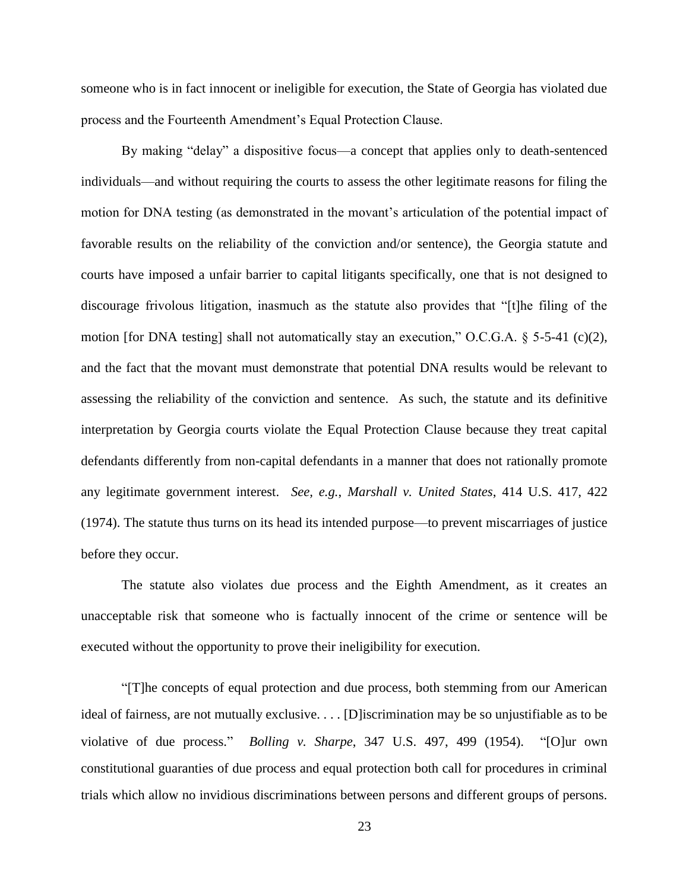someone who is in fact innocent or ineligible for execution, the State of Georgia has violated due process and the Fourteenth Amendment's Equal Protection Clause.

By making "delay" a dispositive focus—a concept that applies only to death-sentenced individuals—and without requiring the courts to assess the other legitimate reasons for filing the motion for DNA testing (as demonstrated in the movant's articulation of the potential impact of favorable results on the reliability of the conviction and/or sentence), the Georgia statute and courts have imposed a unfair barrier to capital litigants specifically, one that is not designed to discourage frivolous litigation, inasmuch as the statute also provides that "[t]he filing of the motion [for DNA testing] shall not automatically stay an execution," O.C.G.A.  $\S$  5-5-41 (c)(2), and the fact that the movant must demonstrate that potential DNA results would be relevant to assessing the reliability of the conviction and sentence. As such, the statute and its definitive interpretation by Georgia courts violate the Equal Protection Clause because they treat capital defendants differently from non-capital defendants in a manner that does not rationally promote any legitimate government interest. *See, e.g.*, *Marshall v. United States*, 414 U.S. 417, 422 (1974). The statute thus turns on its head its intended purpose—to prevent miscarriages of justice before they occur.

The statute also violates due process and the Eighth Amendment, as it creates an unacceptable risk that someone who is factually innocent of the crime or sentence will be executed without the opportunity to prove their ineligibility for execution.

"[T]he concepts of equal protection and due process, both stemming from our American ideal of fairness, are not mutually exclusive. . . . [D]iscrimination may be so unjustifiable as to be violative of due process." *Bolling v. Sharpe*, 347 U.S. 497, 499 (1954). "[O]ur own constitutional guaranties of due process and equal protection both call for procedures in criminal trials which allow no invidious discriminations between persons and different groups of persons.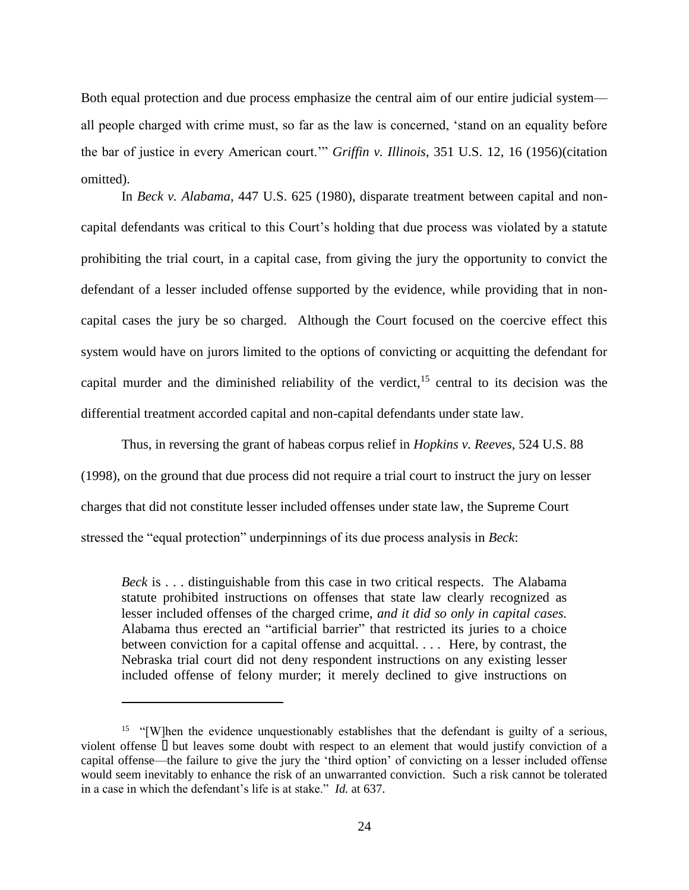Both equal protection and due process emphasize the central aim of our entire judicial system all people charged with crime must, so far as the law is concerned, 'stand on an equality before the bar of justice in every American court.'" *Griffin v. Illinois*, 351 U.S. 12, 16 (1956)(citation omitted).

In *Beck v. Alabama*, 447 U.S. 625 (1980), disparate treatment between capital and noncapital defendants was critical to this Court's holding that due process was violated by a statute prohibiting the trial court, in a capital case, from giving the jury the opportunity to convict the defendant of a lesser included offense supported by the evidence, while providing that in noncapital cases the jury be so charged. Although the Court focused on the coercive effect this system would have on jurors limited to the options of convicting or acquitting the defendant for capital murder and the diminished reliability of the verdict,  $15$  central to its decision was the differential treatment accorded capital and non-capital defendants under state law.

Thus, in reversing the grant of habeas corpus relief in *Hopkins v. Reeves*, 524 U.S. 88 (1998), on the ground that due process did not require a trial court to instruct the jury on lesser charges that did not constitute lesser included offenses under state law, the Supreme Court stressed the "equal protection" underpinnings of its due process analysis in *Beck*:

*Beck* is . . . distinguishable from this case in two critical respects. The Alabama statute prohibited instructions on offenses that state law clearly recognized as lesser included offenses of the charged crime, *and it did so only in capital cases.* Alabama thus erected an "artificial barrier" that restricted its juries to a choice between conviction for a capital offense and acquittal. . . . Here, by contrast, the Nebraska trial court did not deny respondent instructions on any existing lesser included offense of felony murder; it merely declined to give instructions on

<sup>&</sup>lt;sup>15</sup> "[W]hen the evidence unquestionably establishes that the defendant is guilty of a serious, violent offense  $\Box$  but leaves some doubt with respect to an element that would justify conviction of a capital offense—the failure to give the jury the 'third option' of convicting on a lesser included offense would seem inevitably to enhance the risk of an unwarranted conviction. Such a risk cannot be tolerated in a case in which the defendant's life is at stake." *Id.* at 637.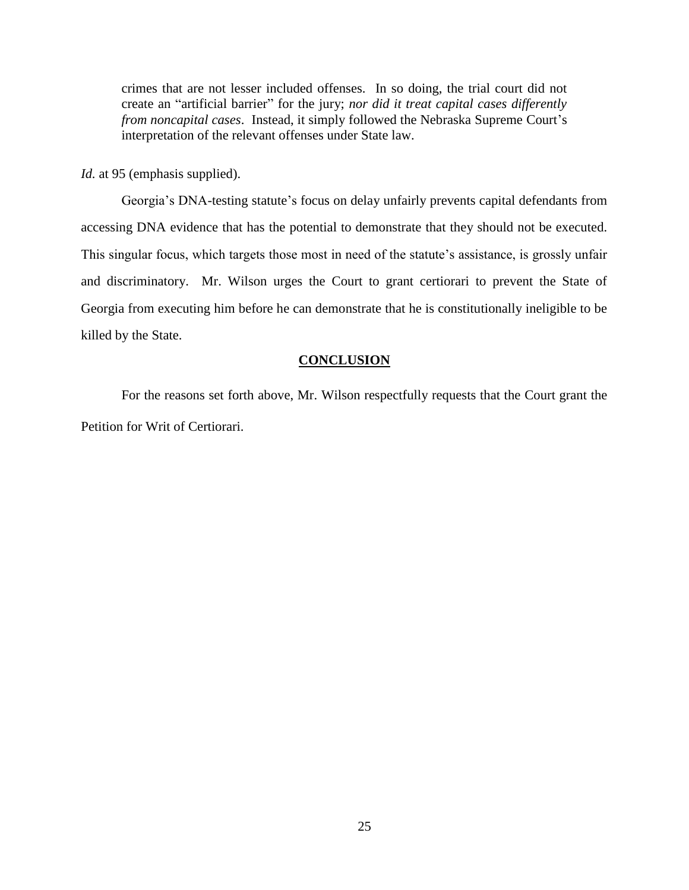crimes that are not lesser included offenses. In so doing, the trial court did not create an "artificial barrier" for the jury; *nor did it treat capital cases differently from noncapital cases*. Instead, it simply followed the Nebraska Supreme Court's interpretation of the relevant offenses under State law.

*Id.* at 95 (emphasis supplied).

Georgia's DNA-testing statute's focus on delay unfairly prevents capital defendants from accessing DNA evidence that has the potential to demonstrate that they should not be executed. This singular focus, which targets those most in need of the statute's assistance, is grossly unfair and discriminatory. Mr. Wilson urges the Court to grant certiorari to prevent the State of Georgia from executing him before he can demonstrate that he is constitutionally ineligible to be killed by the State.

### **CONCLUSION**

For the reasons set forth above, Mr. Wilson respectfully requests that the Court grant the Petition for Writ of Certiorari.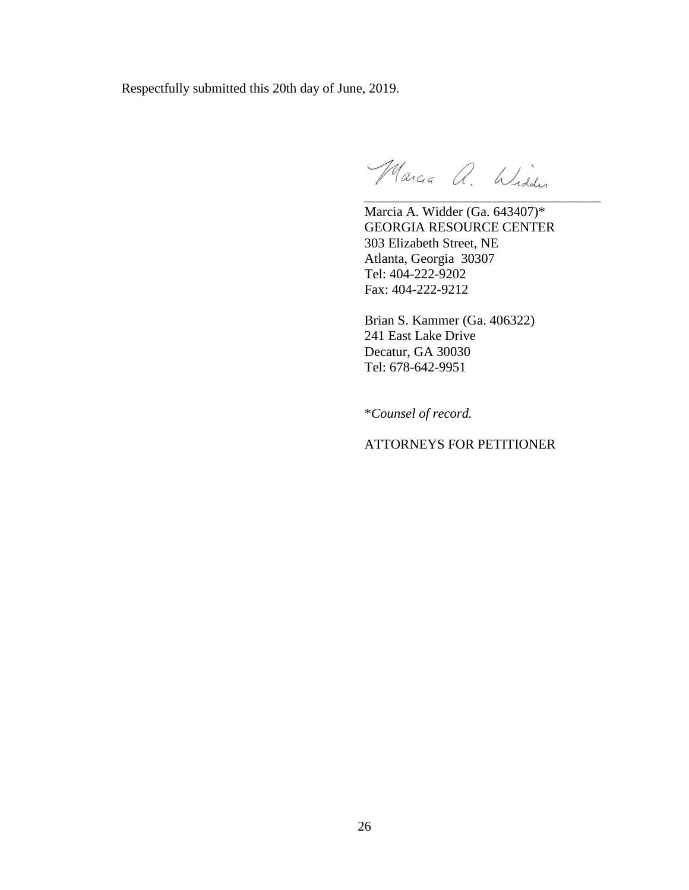Respectfully submitted this 20th day of June, 2019.

Marcia a. Widder

\_\_\_\_\_\_\_\_\_\_\_\_\_\_\_\_\_\_\_\_\_\_\_\_\_\_\_\_\_\_\_\_\_\_\_

Marcia A. Widder (Ga. 643407)\* GEORGIA RESOURCE CENTER 303 Elizabeth Street, NE Atlanta, Georgia 30307 Tel: 404-222-9202 Fax: 404-222-9212

Brian S. Kammer (Ga. 406322) 241 East Lake Drive Decatur, GA 30030 Tel: 678-642-9951

\**Counsel of record.*

ATTORNEYS FOR PETITIONER